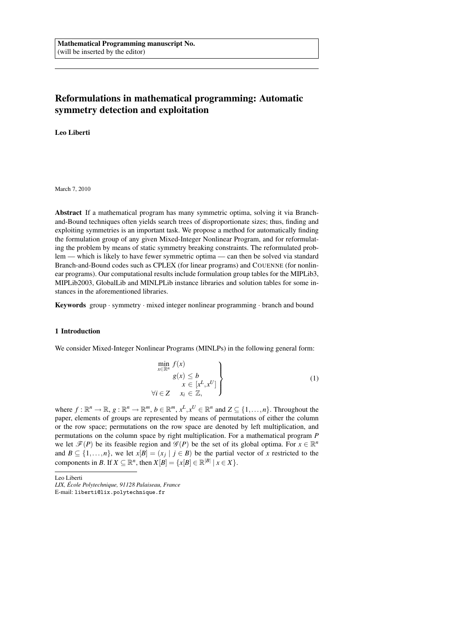# **Reformulations in mathematical programming: Automatic symmetry detection and exploitation**

**Leo Liberti**

March 7, 2010

**Abstract** If a mathematical program has many symmetric optima, solving it via Branchand-Bound techniques often yields search trees of disproportionate sizes; thus, finding and exploiting symmetries is an important task. We propose a method for automatically finding the formulation group of any given Mixed-Integer Nonlinear Program, and for reformulating the problem by means of static symmetry breaking constraints. The reformulated problem — which is likely to have fewer symmetric optima — can then be solved via standard Branch-and-Bound codes such as CPLEX (for linear programs) and COUENNE (for nonlinear programs). Our computational results include formulation group tables for the MIPLib3, MIPLib2003, GlobalLib and MINLPLib instance libraries and solution tables for some instances in the aforementioned libraries.

**Keywords** group · symmetry · mixed integer nonlinear programming · branch and bound

## **1 Introduction**

We consider Mixed-Integer Nonlinear Programs (MINLPs) in the following general form:

$$
\begin{aligned}\n&\min_{x \in \mathbb{R}^n} f(x) \\
&g(x) \leq b \\
&x \in [x^L, x^U] \\
&\forall i \in \mathbb{Z} \quad x_i \in \mathbb{Z},\n\end{aligned} \tag{1}
$$

where  $f: \mathbb{R}^n \to \mathbb{R}, g: \mathbb{R}^n \to \mathbb{R}^m, b \in \mathbb{R}^m, x^L, x^U \in \mathbb{R}^n$  and  $Z \subseteq \{1, \ldots, n\}$ . Throughout the paper, elements of groups are represented by means of permutations of either the column or the row space; permutations on the row space are denoted by left multiplication, and permutations on the column space by right multiplication. For a mathematical program *P* we let  $\mathcal{F}(P)$  be its feasible region and  $\mathcal{G}(P)$  be the set of its global optima. For  $x \in \mathbb{R}^n$ and  $B \subseteq \{1, \ldots, n\}$ , we let  $x[B] = (x_j | j \in B)$  be the partial vector of *x* restricted to the components in *B*. If  $X \subseteq \mathbb{R}^n$ , then  $X[B] = \{x[B] \in \mathbb{R}^{|B|} \mid x \in X\}$ .

Leo Liberti

*LIX, Ecole Polytechnique, 91128 Palaiseau, France ´*

E-mail: liberti@lix.polytechnique.fr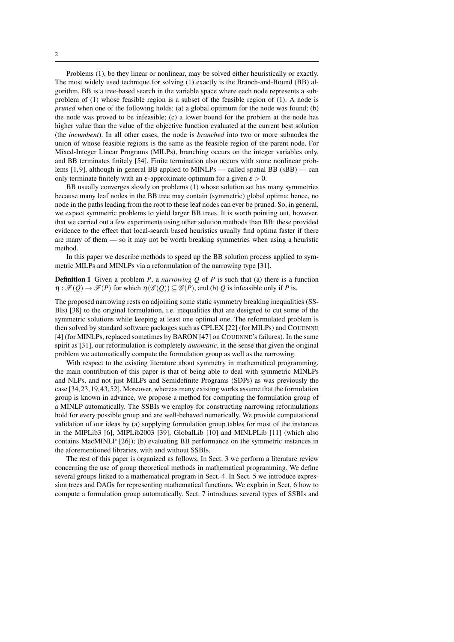Problems (1), be they linear or nonlinear, may be solved either heuristically or exactly. The most widely used technique for solving (1) exactly is the Branch-and-Bound (BB) algorithm. BB is a tree-based search in the variable space where each node represents a subproblem of (1) whose feasible region is a subset of the feasible region of (1). A node is *pruned* when one of the following holds: (a) a global optimum for the node was found; (b) the node was proved to be infeasible; (c) a lower bound for the problem at the node has higher value than the value of the objective function evaluated at the current best solution (the *incumbent*). In all other cases, the node is *branched* into two or more subnodes the union of whose feasible regions is the same as the feasible region of the parent node. For Mixed-Integer Linear Programs (MILPs), branching occurs on the integer variables only, and BB terminates finitely [54]. Finite termination also occurs with some nonlinear problems [1,9], although in general BB applied to MINLPs — called spatial BB (sBB) — can only terminate finitely with an  $\varepsilon$ -approximate optimum for a given  $\varepsilon > 0$ .

BB usually converges slowly on problems (1) whose solution set has many symmetries because many leaf nodes in the BB tree may contain (symmetric) global optima: hence, no node in the paths leading from the root to these leaf nodes can ever be pruned. So, in general, we expect symmetric problems to yield larger BB trees. It is worth pointing out, however, that we carried out a few experiments using other solution methods than BB: these provided evidence to the effect that local-search based heuristics usually find optima faster if there are many of them — so it may not be worth breaking symmetries when using a heuristic method.

In this paper we describe methods to speed up the BB solution process applied to symmetric MILPs and MINLPs via a reformulation of the narrowing type [31].

**Definition 1** Given a problem *P*, a *narrowing Q* of *P* is such that (a) there is a function  $\eta : \mathscr{F}(Q) \to \mathscr{F}(P)$  for which  $\eta(\mathscr{G}(Q)) \subseteq \mathscr{G}(P)$ , and (b) *Q* is infeasible only if *P* is.

The proposed narrowing rests on adjoining some static symmetry breaking inequalities (SS-BIs) [38] to the original formulation, i.e. inequalities that are designed to cut some of the symmetric solutions while keeping at least one optimal one. The reformulated problem is then solved by standard software packages such as CPLEX [22] (for MILPs) and COUENNE [4] (for MINLPs, replaced sometimes by BARON [47] on COUENNE's failures). In the same spirit as [31], our reformulation is completely *automatic*, in the sense that given the original problem we automatically compute the formulation group as well as the narrowing.

With respect to the existing literature about symmetry in mathematical programming, the main contribution of this paper is that of being able to deal with symmetric MINLPs and NLPs, and not just MILPs and Semidefinite Programs (SDPs) as was previously the case [34,23,19,43,52]. Moreover, whereas many existing works assume that the formulation group is known in advance, we propose a method for computing the formulation group of a MINLP automatically. The SSBIs we employ for constructing narrowing reformulations hold for every possible group and are well-behaved numerically. We provide computational validation of our ideas by (a) supplying formulation group tables for most of the instances in the MIPLib3 [6], MIPLib2003 [39], GlobalLib [10] and MINLPLib [11] (which also contains MacMINLP [26]); (b) evaluating BB performance on the symmetric instances in the aforementioned libraries, with and without SSBIs.

The rest of this paper is organized as follows. In Sect. 3 we perform a literature review concerning the use of group theoretical methods in mathematical programming. We define several groups linked to a mathematical program in Sect. 4. In Sect. 5 we introduce expression trees and DAGs for representing mathematical functions. We explain in Sect. 6 how to compute a formulation group automatically. Sect. 7 introduces several types of SSBIs and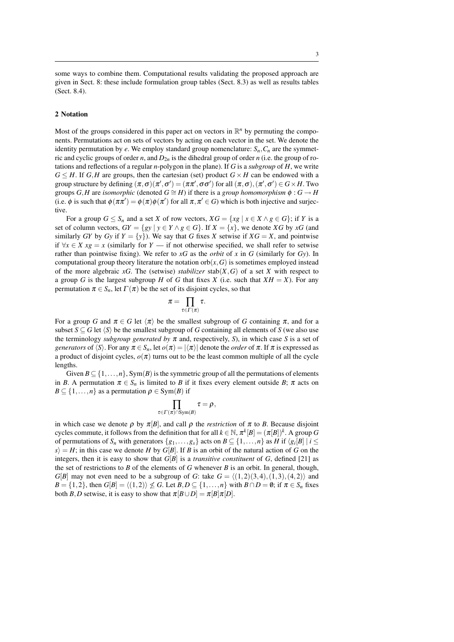some ways to combine them. Computational results validating the proposed approach are given in Sect. 8: these include formulation group tables (Sect. 8.3) as well as results tables (Sect. 8.4).

## **2 Notation**

Most of the groups considered in this paper act on vectors in  $\mathbb{R}^n$  by permuting the components. Permutations act on sets of vectors by acting on each vector in the set. We denote the identity permutation by *e*. We employ standard group nomenclature:  $S_n$ ,  $C_n$  are the symmetric and cyclic groups of order *n*, and  $D_{2n}$  is the dihedral group of order *n* (i.e. the group of rotations and reflections of a regular *n*-polygon in the plane). If *G* is a *subgroup* of *H*, we write  $G \leq H$ . If *G*,*H* are groups, then the cartesian (set) product  $G \times H$  can be endowed with a group structure by defining  $(\pi, \sigma)(\pi', \sigma') = (\pi\pi', \sigma\sigma')$  for all  $(\pi, \sigma), (\pi', \sigma') \in G \times H$ . Two groups *G*, *H* are *isomorphic* (denoted  $G \cong H$ ) if there is a *group homomorphism*  $\phi : G \to H$ (i.e.  $\phi$  is such that  $\phi(\pi \pi') = \phi(\pi) \phi(\pi')$  for all  $\pi, \pi' \in G$ ) which is both injective and surjective.

For a group  $G \leq S_n$  and a set *X* of row vectors,  $XG = \{xg \mid x \in X \land g \in G\}$ ; if *Y* is a set of column vectors,  $GY = \{ gy \mid y \in Y \land g \in G \}$ . If  $X = \{x\}$ , we denote  $XG$  by  $xG$  (and similarly *GY* by *Gy* if  $Y = \{y\}$ . We say that *G* fixes *X* setwise if  $XG = X$ , and pointwise if  $\forall x \in X$  *xg* = *x* (similarly for *Y* — if not otherwise specified, we shall refer to setwise rather than pointwise fixing). We refer to *xG* as the *orbit* of *x* in *G* (similarly for *Gy*). In computational group theory literature the notation  $orb(x, G)$  is sometimes employed instead of the more algebraic  $xG$ . The (setwise) *stabilizer* stab( $X$ ,  $G$ ) of a set  $X$  with respect to a group *G* is the largest subgroup *H* of *G* that fixes *X* (i.e. such that  $XH = X$ ). For any permutation  $\pi \in S_n$ , let  $\Gamma(\pi)$  be the set of its disjoint cycles, so that

$$
\pi = \prod_{\tau \in \Gamma(\pi)} \tau.
$$

For a group *G* and  $\pi \in G$  let  $\langle \pi \rangle$  be the smallest subgroup of *G* containing  $\pi$ , and for a subset  $S \subseteq G$  let  $\langle S \rangle$  be the smallest subgroup of *G* containing all elements of *S* (we also use the terminology *subgroup generated by*  $\pi$  and, respectively, *S*), in which case *S* is a set of *generators* of  $\langle S \rangle$ . For any  $\pi \in S_n$ , let  $o(\pi) = |\langle \pi \rangle|$  denote the *order* of  $\pi$ . If  $\pi$  is expressed as a product of disjoint cycles,  $o(\pi)$  turns out to be the least common multiple of all the cycle lengths.

Given  $B \subseteq \{1, \ldots, n\}$ , Sym(B) is the symmetric group of all the permutations of elements in *B*. A permutation  $\pi \in S_n$  is limited to *B* if it fixes every element outside *B*;  $\pi$  acts on  $B \subseteq \{1, \ldots, n\}$  as a permutation  $\rho \in \text{Sym}(B)$  if

$$
\prod_{\tau\in\Gamma(\pi)\cap\mathrm{Sym}(B)}\tau=\rho,
$$

in which case we denote  $\rho$  by  $\pi[B]$ , and call  $\rho$  the *restriction* of  $\pi$  to *B*. Because disjoint cycles commute, it follows from the definition that for all  $k \in \mathbb{N}$ ,  $\pi^{k}[B] = (\pi[B])^{k}$ . A group *G* of permutations of  $S_n$  with generators  $\{g_1, \ldots, g_s\}$  acts on  $B \subseteq \{1, \ldots, n\}$  as H if  $\langle g_i[B] \mid i \leq j \}$  $s$  = *H*; in this case we denote *H* by *G*[*B*]. If *B* is an orbit of the natural action of *G* on the integers, then it is easy to show that  $G[B]$  is a *transitive constituent* of  $G$ , defined [21] as the set of restrictions to *B* of the elements of *G* whenever *B* is an orbit. In general, though, *G*[*B*] may not even need to be a subgroup of *G*: take  $G = \langle (1,2)(3,4), (1,3), (4,2) \rangle$  and  $B = \{1, 2\}$ , then  $G[B] = \langle (1,2) \rangle \nleq G$ . Let  $B, D \subseteq \{1, \ldots, n\}$  with  $B \cap D = \emptyset$ ; if  $\pi \in S_n$  fixes both *B*,*D* setwise, it is easy to show that  $\pi[B \cup D] = \pi[B]\pi[D]$ .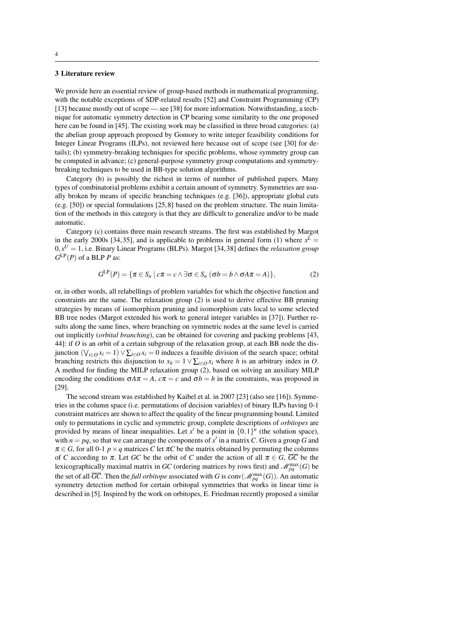## **3 Literature review**

We provide here an essential review of group-based methods in mathematical programming, with the notable exceptions of SDP-related results [52] and Constraint Programming (CP) [13] because mostly out of scope — see [38] for more information. Notwithstanding, a technique for automatic symmetry detection in CP bearing some similarity to the one proposed here can be found in [45]. The existing work may be classified in three broad categories: (a) the abelian group approach proposed by Gomory to write integer feasibility conditions for Integer Linear Programs (ILPs), not reviewed here because out of scope (see [30] for details); (b) symmetry-breaking techniques for specific problems, whose symmetry group can be computed in advance; (c) general-purpose symmetry group computations and symmetrybreaking techniques to be used in BB-type solution algorithms.

Category (b) is possibly the richest in terms of number of published papers. Many types of combinatorial problems exhibit a certain amount of symmetry. Symmetries are usually broken by means of specific branching techniques (e.g. [36]), appropriate global cuts (e.g. [50]) or special formulations [25,8] based on the problem structure. The main limitation of the methods in this category is that they are difficult to generalize and/or to be made automatic.

Category (c) contains three main research streams. The first was established by Margot in the early 2000s [34,35], and is applicable to problems in general form (1) where  $x^L =$  $0, x^U = 1$ , i.e. Binary Linear Programs (BLPs). Margot [34,38] defines the *relaxation group*  $G^{\text{LP}}(P)$  of a BLP *P* as:

$$
G^{\text{LP}}(P) = \{ \pi \in S_n \mid c\pi = c \land \exists \sigma \in S_n \ (\sigma b = b \land \sigma A \pi = A) \},\tag{2}
$$

or, in other words, all relabellings of problem variables for which the objective function and constraints are the same. The relaxation group (2) is used to derive effective BB pruning strategies by means of isomorphism pruning and isomorphism cuts local to some selected BB tree nodes (Margot extended his work to general integer variables in [37]). Further results along the same lines, where branching on symmetric nodes at the same level is carried out implicitly (*orbital branching*), can be obtained for covering and packing problems [43, 44]: if *O* is an orbit of a certain subgroup of the relaxation group, at each BB node the disjunction  $(\bigvee_{i \in O} x_i = 1) \vee \sum_{i \in O} x_i = 0$  induces a feasible division of the search space; orbital branching restricts this disjunction to  $x_h = 1 \vee \sum_{i \in O} x_i$  where *h* is an arbitrary index in *O*. A method for finding the MILP relaxation group (2), based on solving an auxiliary MILP encoding the conditions  $\sigma A \pi = A$ ,  $c \pi = c$  and  $\sigma b = b$  in the constraints, was proposed in [29].

The second stream was established by Kaibel et al. in 2007 [23] (also see [16]). Symmetries in the column space (i.e. permutations of decision variables) of binary ILPs having 0-1 constraint matrices are shown to affect the quality of the linear programming bound. Limited only to permutations in cyclic and symmetric group, complete descriptions of *orbitopes* are provided by means of linear inequalities. Let  $x'$  be a point in  $\{0,1\}^n$  (the solution space), with  $n = pq$ , so that we can arrange the components of  $x'$  in a matrix C. Given a group G and  $\pi \in G$ , for all 0-1  $p \times q$  matrices *C* let  $\pi C$  be the matrix obtained by permuting the columns of *C* according to  $\pi$ . Let *GC* be the orbit of *C* under the action of all  $\pi \in G$ ,  $\overline{GC}$  be the lexicographically maximal matrix in *GC* (ordering matrices by rows first) and  $\mathcal{M}_{pq}^{\text{max}}(G)$  be the set of all  $\overline{GC}$ . Then the *full orbitope* associated with *G* is conv $(\mathcal{M}_{pq}^{\max}(G))$ . An automatic symmetry detection method for certain orbitopal symmetries that works in linear time is described in [5]. Inspired by the work on orbitopes, E. Friedman recently proposed a similar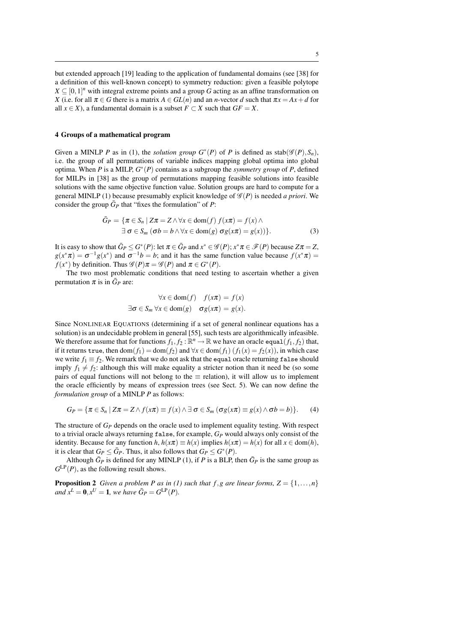but extended approach [19] leading to the application of fundamental domains (see [38] for a definition of this well-known concept) to symmetry reduction: given a feasible polytope  $X \subseteq [0,1]^n$  with integral extreme points and a group *G* acting as an affine transformation on *X* (i.e. for all  $\pi \in G$  there is a matrix  $A \in GL(n)$  and an *n*-vector *d* such that  $\pi x = Ax + d$  for all *x* ∈ *X*), a fundamental domain is a subset  $F$  ⊂ *X* such that  $GF = X$ .

## **4 Groups of a mathematical program**

Given a MINLP *P* as in (1), the *solution group*  $G^*(P)$  of *P* is defined as stab $(\mathscr{G}(P), S_n)$ , i.e. the group of all permutations of variable indices mapping global optima into global optima. When *P* is a MILP, *G* ∗ (*P*) contains as a subgroup the *symmetry group* of *P*, defined for MILPs in [38] as the group of permutations mapping feasible solutions into feasible solutions with the same objective function value. Solution groups are hard to compute for a general MINLP (1) because presumably explicit knowledge of  $\mathscr{G}(P)$  is needed *a priori*. We consider the group  $\bar{G}_P$  that "fixes the formulation" of *P*:

$$
\bar{G}_P = \{ \pi \in S_n \mid Z\pi = Z \land \forall x \in \text{dom}(f) \ f(x\pi) = f(x) \land \exists \ \sigma \in S_m \ (\sigma b = b \land \forall x \in \text{dom}(g) \ \sigma g(x\pi) = g(x)) \}. \tag{3}
$$

It is easy to show that  $\bar{G}_P \leq G^*(P)$ : let  $\pi \in \bar{G}_P$  and  $x^* \in \mathscr{G}(P)$ ;  $x^* \pi \in \mathscr{F}(P)$  because  $Z\pi = Z$ ,  $g(x^*\pi) = \sigma^{-1}g(x^*)$  and  $\sigma^{-1}b = b$ ; and it has the same function value because  $f(x^*\pi) =$ *f*(*x*<sup>\*</sup>) by definition. Thus  $\mathscr{G}(P)\pi = \mathscr{G}(P)$  and  $\pi \in G^*(P)$ .

The two most problematic conditions that need testing to ascertain whether a given permutation  $\pi$  is in  $\bar{G}_P$  are:

$$
\forall x \in \text{dom}(f) \quad f(x\pi) = f(x)
$$
  

$$
\exists \sigma \in S_m \forall x \in \text{dom}(g) \quad \sigma g(x\pi) = g(x).
$$

Since NONLINEAR EQUATIONS (determining if a set of general nonlinear equations has a solution) is an undecidable problem in general [55], such tests are algorithmically infeasible. We therefore assume that for functions  $f_1, f_2 : \mathbb{R}^n \to \mathbb{R}$  we have an oracle equal $(f_1, f_2)$  that, if it returns true, then  $dom(f_1) = dom(f_2)$  and  $\forall x \in dom(f_1)$   $(f_1(x) = f_2(x))$ , in which case we write  $f_1 \equiv f_2$ . We remark that we do not ask that the equal oracle returning false should imply  $f_1 \neq f_2$ : although this will make equality a stricter notion than it need be (so some pairs of equal functions will not belong to the  $\equiv$  relation), it will allow us to implement the oracle efficiently by means of expression trees (see Sect. 5). We can now define the *formulation group* of a MINLP *P* as follows:

$$
G_P = \{ \pi \in S_n \mid Z\pi = Z \wedge f(x\pi) \equiv f(x) \wedge \exists \sigma \in S_m \left( \sigma g(x\pi) \equiv g(x) \wedge \sigma b = b \right) \}. \tag{4}
$$

The structure of *G<sup>P</sup>* depends on the oracle used to implement equality testing. With respect to a trivial oracle always returning false, for example, *G<sup>P</sup>* would always only consist of the identity. Because for any function  $h, h(x\pi) \equiv h(x)$  implies  $h(x\pi) = h(x)$  for all  $x \in \text{dom}(h)$ , it is clear that  $G_P \leq \overline{G}_P$ . Thus, it also follows that  $G_P \leq G^*(P)$ .

Although  $\bar{G}_P$  is defined for any MINLP (1), if *P* is a BLP, then  $\bar{G}_P$  is the same group as  $G^{\text{LP}}(P)$ , as the following result shows.

**Proposition 2** *Given a problem P as in (1) such that f, g are linear forms,*  $Z = \{1, ..., n\}$ *and*  $x^L = 0, x^U = 1$ *, we have*  $\bar{G}_P = G^{LP}(P)$ *.*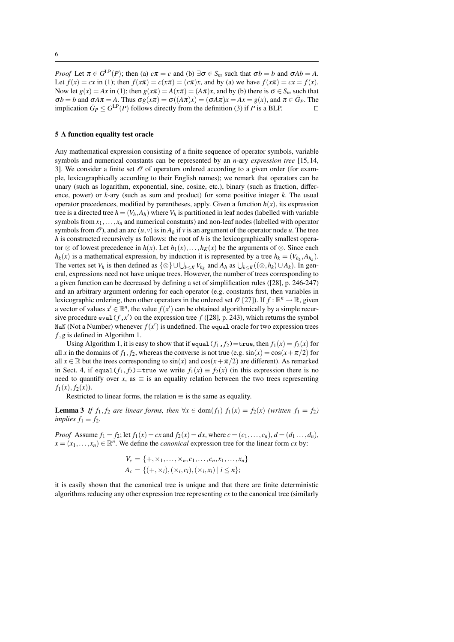*Proof* Let  $\pi \in G^{\text{LP}}(P)$ ; then (a)  $c\pi = c$  and (b)  $\exists \sigma \in S_m$  such that  $\sigma b = b$  and  $\sigma Ab = A$ . Let  $f(x) = cx$  in (1); then  $f(x\pi) = c(x\pi) = (c\pi)x$ , and by (a) we have  $f(x\pi) = cx = f(x)$ . Now let  $g(x) = Ax$  in (1); then  $g(x\pi) = A(x\pi) = (A\pi)x$ , and by (b) there is  $\sigma \in S_m$  such that  $\sigma b = b$  and  $\sigma A \pi = A$ . Thus  $\sigma g(x\pi) = \sigma((A\pi)x) = (\sigma A\pi)x = Ax = g(x)$ , and  $\pi \in \bar{G}_P$ . The implication  $\bar{G}_P \leq G^{\text{LP}}(P)$  follows directly from the definition (3) if *P* is a BLP. □

#### **5 A function equality test oracle**

Any mathematical expression consisting of a finite sequence of operator symbols, variable symbols and numerical constants can be represented by an *n*-ary *expression tree* [15,14, 3. We consider a finite set  $\mathcal O$  of operators ordered according to a given order (for example, lexicographically according to their English names); we remark that operators can be unary (such as logarithm, exponential, sine, cosine, etc.), binary (such as fraction, difference, power) or *k*-ary (such as sum and product) for some positive integer *k*. The usual operator precedences, modified by parentheses, apply. Given a function  $h(x)$ , its expression tree is a directed tree  $h = (V_h, A_h)$  where  $V_h$  is partitioned in leaf nodes (labelled with variable symbols from  $x_1, \ldots, x_n$  and numerical constants) and non-leaf nodes (labelled with operator symbols from  $\mathcal{O}$ ), and an arc  $(u, v)$  is in  $A_h$  if  $v$  is an argument of the operator node  $u$ . The tree *h* is constructed recursively as follows: the root of *h* is the lexicographically smallest operator ⊗ of lowest precedence in  $h(x)$ . Let  $h_1(x),...,h_K(x)$  be the arguments of ⊗. Since each  $h_k(x)$  is a mathematical expression, by induction it is represented by a tree  $h_k = (V_{h_k}, A_{h_k})$ . The vertex set *V<sub>h</sub>* is then defined as  $\{\otimes\} \cup \bigcup_{k \leq K} V_{h_k}$  and  $A_h$  as  $\bigcup_{k \leq K} ((\otimes, h_k) \cup A_k)$ . In general, expressions need not have unique trees. However, the number of trees corresponding to a given function can be decreased by defining a set of simplification rules ([28], p. 246-247) and an arbitrary argument ordering for each operator (e.g. constants first, then variables in lexicographic ordering, then other operators in the ordered set  $\mathcal{O}$  [27]). If  $f : \mathbb{R}^n \to \mathbb{R}$ , given a vector of values  $x' \in \mathbb{R}^n$ , the value  $f(x')$  can be obtained algorithmically by a simple recursive procedure eval( $f$ , $x'$ ) on the expression tree  $f$  ([28], p. 243), which returns the symbol NaN (Not a Number) whenever  $f(x')$  is undefined. The equal oracle for two expression trees *f*,*g* is defined in Algorithm 1.

Using Algorithm 1, it is easy to show that if equal( $f_1$ ,  $f_2$ )=true, then  $f_1(x) = f_2(x)$  for all *x* in the domains of  $f_1$ ,  $f_2$ , whereas the converse is not true (e.g.  $sin(x) = cos(x + \pi/2)$  for all  $x \in \mathbb{R}$  but the trees corresponding to  $\sin(x)$  and  $\cos(x + \pi/2)$  are different). As remarked in Sect. 4, if equal( $f_1$ ,  $f_2$ )=true we write  $f_1(x) \equiv f_2(x)$  (in this expression there is no need to quantify over *x*, as  $\equiv$  is an equality relation between the two trees representing  $f_1(x)$ ,  $f_2(x)$ ).

Restricted to linear forms, the relation  $\equiv$  is the same as equality.

**Lemma 3** *If*  $f_1, f_2$  *are linear forms, then*  $\forall x \in \text{dom}(f_1)$   $f_1(x) = f_2(x)$  *(written*  $f_1 = f_2$ ) *implies*  $f_1 \equiv f_2$ *.* 

*Proof* Assume  $f_1 = f_2$ ; let  $f_1(x) = cx$  and  $f_2(x) = dx$ , where  $c = (c_1, ..., c_n)$ ,  $d = (d_1, ..., d_n)$ ,  $x = (x_1, \ldots, x_n) \in \mathbb{R}^n$ . We define the *canonical* expression tree for the linear form *cx* by:

$$
V_c = \{+, \times_1, \ldots, \times_n, c_1, \ldots, c_n, x_1, \ldots, x_n\}
$$
  

$$
A_c = \{(+, \times_i), (\times_i, c_i), (\times_i, x_i) \mid i \leq n\};
$$

it is easily shown that the canonical tree is unique and that there are finite deterministic algorithms reducing any other expression tree representing *cx* to the canonical tree (similarly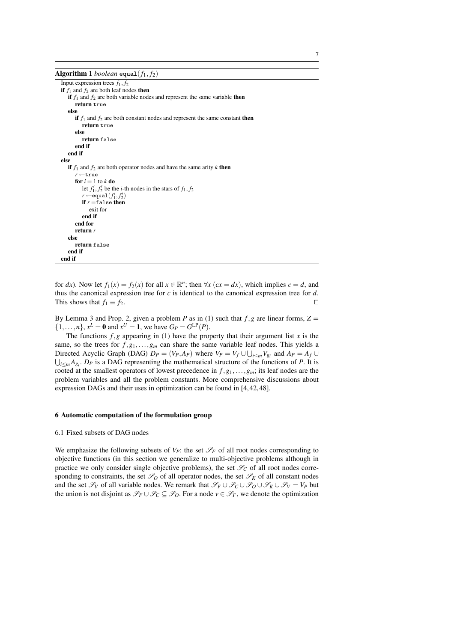**Algorithm 1** *boolean* equal $(f_1, f_2)$ 

Input expression trees  $f_1, f_2$ **if**  $f_1$  and  $f_2$  are both leaf nodes **then if**  $f_1$  and  $f_2$  are both variable nodes and represent the same variable **then return** true **else if**  $f_1$  and  $f_2$  are both constant nodes and represent the same constant **then return** true **else return** false **end if end if else if**  $f_1$  and  $f_2$  are both operator nodes and have the same arity  $k$  **then** *r* ←true **for**  $i = 1$  to  $k$  **do** let  $f'_1, f'_2$  be the *i*-th nodes in the stars of  $f_1, f_2$  $r \leftarrow$  **equal**  $(f'_1, f'_2)$ **if** *r* =false **then** exit for **end if end for return** *r* **else return** false **end if end if**

for *dx*). Now let  $f_1(x) = f_2(x)$  for all  $x \in \mathbb{R}^n$ ; then  $\forall x \ (cx = dx)$ , which implies  $c = d$ , and thus the canonical expression tree for *c* is identical to the canonical expression tree for *d*. This shows that  $f_1 \equiv f_2$ . □

By Lemma 3 and Prop. 2, given a problem *P* as in (1) such that  $f, g$  are linear forms,  $Z =$  $\{1,\ldots,n\}$ ,  $x^L = 0$  and  $x^U = 1$ , we have  $G_P = G^{\text{LP}}(P)$ .

The functions  $f$ ,  $g$  appearing in (1) have the property that their argument list  $x$  is the same, so the trees for  $f, g_1, \ldots, g_m$  can share the same variable leaf nodes. This yields a Directed Acyclic Graph (DAG)  $D_P = (V_P, A_P)$  where  $V_P = V_f \cup \bigcup_{i \le m} V_{g_i}$  and  $A_P = A_f \cup$  $\bigcup_{i \leq m} A_{g_i}$ . *D<sub>P</sub>* is a DAG representing the mathematical structure of the functions of *P*. It is rooted at the smallest operators of lowest precedence in *f*,*g*1,...,*gm*; its leaf nodes are the problem variables and all the problem constants. More comprehensive discussions about expression DAGs and their uses in optimization can be found in [4,42,48].

## **6 Automatic computation of the formulation group**

### 6.1 Fixed subsets of DAG nodes

We emphasize the following subsets of  $V_P$ : the set  $\mathscr{S}_F$  of all root nodes corresponding to objective functions (in this section we generalize to multi-objective problems although in practice we only consider single objective problems), the set  $\mathcal{S}_C$  of all root nodes corresponding to constraints, the set  $\mathscr{S}_0$  of all operator nodes, the set  $\mathscr{S}_K$  of all constant nodes and the set  $\mathscr{S}_V$  of all variable nodes. We remark that  $\mathscr{S}_F \cup \mathscr{S}_C \cup \mathscr{S}_O \cup \mathscr{S}_K \cup \mathscr{S}_V = V_P$  but the union is not disjoint as  $\mathscr{S}_F \cup \mathscr{S}_C \subseteq \mathscr{S}_O$ . For a node  $v \in \mathscr{S}_F$ , we denote the optimization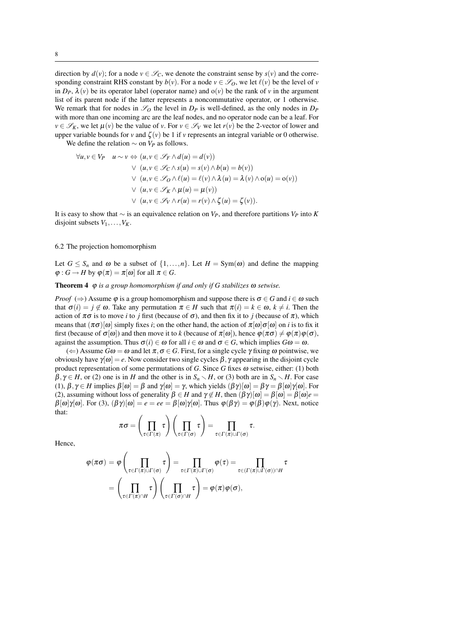direction by  $d(v)$ ; for a node  $v \in \mathcal{S}_C$ , we denote the constraint sense by  $s(v)$  and the corresponding constraint RHS constant by  $b(v)$ . For a node  $v \in \mathscr{S}_0$ , we let  $\ell(v)$  be the level of *v* in  $D_P$ ,  $\lambda(v)$  be its operator label (operator name) and  $o(v)$  be the rank of *v* in the argument list of its parent node if the latter represents a noncommutative operator, or 1 otherwise. We remark that for nodes in  $\mathscr{S}_0$  the level in  $D_P$  is well-defined, as the only nodes in  $D_P$ with more than one incoming arc are the leaf nodes, and no operator node can be a leaf. For  $v \in \mathscr{S}_k$ , we let  $\mu(v)$  be the value of *v*. For  $v \in \mathscr{S}_v$  we let  $r(v)$  be the 2-vector of lower and upper variable bounds for *v* and  $\zeta(v)$  be 1 if *v* represents an integral variable or 0 otherwise.

We define the relation  $\sim$  on  $V_P$  as follows.

$$
\forall u, v \in V_P \quad u \sim v \Leftrightarrow (u, v \in \mathcal{S}_F \land d(u) = d(v))
$$
  

$$
\lor (u, v \in \mathcal{S}_C \land s(u) = s(v) \land b(u) = b(v))
$$
  

$$
\lor (u, v \in \mathcal{S}_O \land \ell(u) = \ell(v) \land \lambda(u) = \lambda(v) \land o(u) = o(v))
$$
  

$$
\lor (u, v \in \mathcal{S}_K \land \mu(u) = \mu(v))
$$
  

$$
\lor (u, v \in \mathcal{S}_V \land r(u) = r(v) \land \zeta(u) = \zeta(v)).
$$

It is easy to show that ∼ is an equivalence relation on *VP*, and therefore partitions *V<sup>P</sup>* into *K* disjoint subsets  $V_1, \ldots, V_K$ .

## 6.2 The projection homomorphism

Let  $G \leq S_n$  and  $\omega$  be a subset of  $\{1, \ldots, n\}$ . Let  $H = \text{Sym}(\omega)$  and define the mapping  $\varphi: G \to H$  by  $\varphi(\pi) = \pi[\omega]$  for all  $\pi \in G$ .

**Theorem 4** ϕ *is a group homomorphism if and only if G stabilizes* <sup>ω</sup> *setwise.*

*Proof* ( $\Rightarrow$ ) Assume  $\varphi$  is a group homomorphism and suppose there is  $\sigma \in G$  and  $i \in \omega$  such that  $\sigma(i) = j \notin \omega$ . Take any permutation  $\pi \in H$  such that  $\pi(i) = k \in \omega$ ,  $k \neq i$ . Then the action of  $\pi\sigma$  is to move *i* to *j* first (because of  $\sigma$ ), and then fix it to *j* (because of  $\pi$ ), which means that  $(\pi \sigma)[\omega]$  simply fixes *i*; on the other hand, the action of  $\pi[\omega]\sigma[\omega]$  on *i* is to fix it first (because of  $\sigma[\omega]$ ) and then move it to *k* (because of  $\pi[\omega]$ ), hence  $\varphi(\pi\sigma) \neq \varphi(\pi)\varphi(\sigma)$ , against the assumption. Thus  $\sigma(i) \in \omega$  for all  $i \in \omega$  and  $\sigma \in G$ , which implies  $G\omega = \omega$ .

 $(\Leftarrow)$  Assume  $G\omega = \omega$  and let  $\pi, \sigma \in G$ . First, for a single cycle  $\gamma$  fixing  $\omega$  pointwise, we obviously have  $γ[ω] = e$ . Now consider two single cycles  $β$ ,  $γ$  appearing in the disjoint cycle product representation of some permutations of *G*. Since *G* fixes <sup>ω</sup> setwise, either: (1) both  $\beta, \gamma \in H$ , or (2) one is in *H* and the other is in  $S_n \setminus H$ , or (3) both are in  $S_n \setminus H$ . For case (1),  $\beta, \gamma \in H$  implies  $\beta[\omega] = \beta$  and  $\gamma[\omega] = \gamma$ , which yields  $(\beta \gamma)[\omega] = \beta \gamma = \beta[\omega]\gamma[\omega]$ . For (2), assuming without loss of generality  $\beta \in H$  and  $\gamma \notin H$ , then  $(\beta \gamma)[\omega] = \beta[\omega] = \beta[\omega]e$  $\beta[\omega]\gamma[\omega]$ . For (3),  $(\beta\gamma)[\omega] = e = ee = \beta[\omega]\gamma[\omega]$ . Thus  $\varphi(\beta\gamma) = \varphi(\beta)\varphi(\gamma)$ . Next, notice that:

$$
\pi\sigma = \left(\prod_{\tau \in \Gamma(\pi)} \tau\right)\left(\prod_{\tau \in \Gamma(\sigma)} \tau\right) = \prod_{\tau \in \Gamma(\pi) \cup \Gamma(\sigma)} \tau.
$$

Hence,

$$
\varphi(\pi\sigma) = \varphi\left(\prod_{\tau \in \Gamma(\pi) \cup \Gamma(\sigma)} \tau\right) = \prod_{\tau \in \Gamma(\pi) \cup \Gamma(\sigma)} \varphi(\tau) = \prod_{\tau \in (\Gamma(\pi) \cup \Gamma(\sigma)) \cap H} \tau
$$

$$
= \left(\prod_{\tau \in \Gamma(\pi) \cap H} \tau\right) \left(\prod_{\tau \in \Gamma(\sigma) \cap H} \tau\right) = \varphi(\pi)\varphi(\sigma),
$$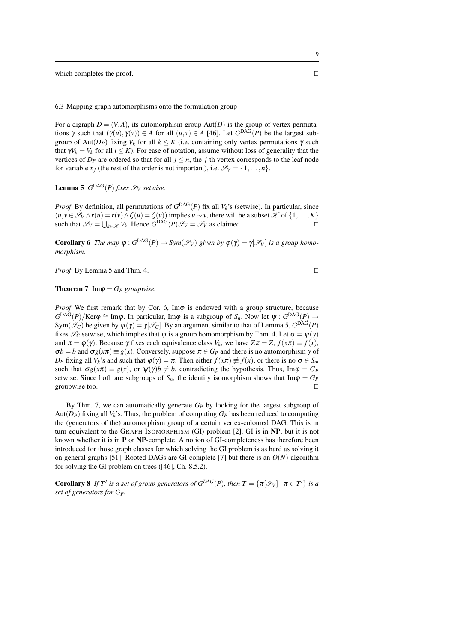which completes the proof. □

6.3 Mapping graph automorphisms onto the formulation group

For a digraph  $D = (V, A)$ , its automorphism group Aut $(D)$  is the group of vertex permutations  $\gamma$  such that  $(\gamma(u), \gamma(v)) \in A$  for all  $(u, v) \in A$  [46]. Let  $G^{DAG}(P)$  be the largest subgroup of Aut(*D<sub>P</sub>*) fixing *V<sub>k</sub>* for all  $k \leq K$  (i.e. containing only vertex permutations γ such that  $\gamma V_k = V_k$  for all  $i \leq K$ ). For ease of notation, assume without loss of generality that the vertices of  $D_p$  are ordered so that for all  $j \leq n$ , the *j*-th vertex corresponds to the leaf node for variable  $x_i$  (the rest of the order is not important), i.e.  $\mathcal{S}_V = \{1, \ldots, n\}$ .

**Lemma 5**  $G^{DAG}(P)$  *fixes*  $\mathcal{S}_V$  *setwise.* 

*Proof* By definition, all permutations of  $G<sup>DAG</sup>(P)$  fix all  $V_k$ 's (setwise). In particular, since  $(u, v \in \mathcal{S}_V \wedge r(u) = r(v) \wedge \zeta(u) = \zeta(v)$  implies  $u \sim v$ , there will be a subset  $\mathcal{K}$  of  $\{1, \ldots, K\}$ such that  $\mathscr{S}_V = \bigcup_{k \in \mathcal{K}} V_k$ . Hence  $G^{\text{DAG}}(P) \mathscr{S}_V = \mathscr{S}_V$  as claimed. □

**Corollary 6** *The map*  $\varphi$  :  $G^{DAG}(P) \to Sym(\mathcal{S}_V)$  given by  $\varphi(\gamma) = \gamma[\mathcal{S}_V]$  is a group homo*morphism.*

*Proof* By Lemma 5 and Thm. 4. □

## **Theorem 7** Im $\varphi = G_P$  groupwise.

*Proof* We first remark that by Cor. 6, Im $\varphi$  is endowed with a group structure, because  $G^{DAG}(P)/Ker\varphi \cong Im\varphi$ . In particular, Im $\varphi$  is a subgroup of  $S_n$ . Now let  $\psi: G^{DAG}(P) \to$ Sym $(\mathscr{S}_C)$  be given by  $\psi(\gamma) = \gamma[\mathscr{S}_C]$ . By an argument similar to that of Lemma 5,  $G^{DAG}(P)$ fixes  $\mathscr{S}_C$  setwise, which implies that  $\psi$  is a group homomorphism by Thm. 4. Let  $\sigma = \psi(\gamma)$ and  $\pi = \varphi(\gamma)$ . Because  $\gamma$  fixes each equivalence class  $V_k$ , we have  $Z\pi = Z$ ,  $f(x\pi) \equiv f(x)$ ,  $\sigma b = b$  and  $\sigma g(x\pi) \equiv g(x)$ . Conversely, suppose  $\pi \in G_P$  and there is no automorphism  $\gamma$  of *D*<sup>*P*</sup> fixing all *V*<sup>*k*</sup>'s and such that  $\varphi(\gamma) = \pi$ . Then either  $f(x\pi) \not\equiv f(x)$ , or there is no  $\sigma \in S_m$ such that  $\sigma g(x\pi) \equiv g(x)$ , or  $\psi(\gamma)b \neq b$ , contradicting the hypothesis. Thus, Im $\varphi = G_P$ setwise. Since both are subgroups of  $S_n$ , the identity isomorphism shows that  $\text{Im}\varphi = G_P$ groupwise too.

By Thm. 7, we can automatically generate *G<sup>P</sup>* by looking for the largest subgroup of Aut $(D_P)$  fixing all  $V_k$ 's. Thus, the problem of computing  $G_P$  has been reduced to computing the (generators of the) automorphism group of a certain vertex-coloured DAG. This is in turn equivalent to the GRAPH ISOMORPHISM (GI) problem [2]. GI is in **NP**, but it is not known whether it is in **P** or **NP**-complete. A notion of GI-completeness has therefore been introduced for those graph classes for which solving the GI problem is as hard as solving it on general graphs [51]. Rooted DAGs are GI-complete [7] but there is an  $O(N)$  algorithm for solving the GI problem on trees ([46], Ch. 8.5.2).

**Corollary 8** If T' is a set of group generators of  $G^{DAG}(P)$ , then  $T = \{ \pi[\mathcal{S}_V] \mid \pi \in T' \}$  is a *set of generators for GP.*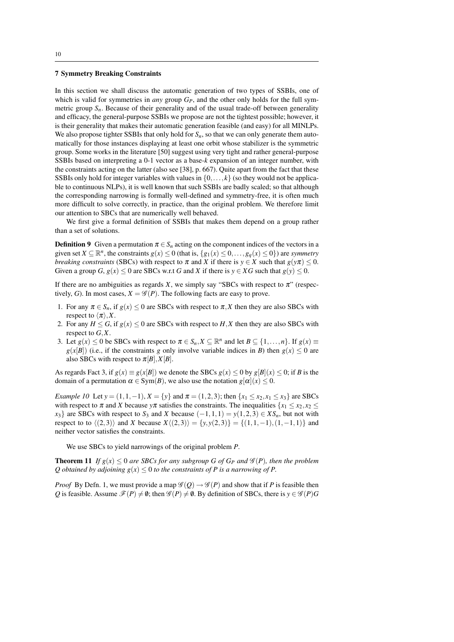#### **7 Symmetry Breaking Constraints**

In this section we shall discuss the automatic generation of two types of SSBIs, one of which is valid for symmetries in *any* group  $G_P$ , and the other only holds for the full symmetric group  $S_n$ . Because of their generality and of the usual trade-off between generality and efficacy, the general-purpose SSBIs we propose are not the tightest possible; however, it is their generality that makes their automatic generation feasible (and easy) for all MINLPs. We also propose tighter SSBIs that only hold for  $S_n$ , so that we can only generate them automatically for those instances displaying at least one orbit whose stabilizer is the symmetric group. Some works in the literature [50] suggest using very tight and rather general-purpose SSBIs based on interpreting a 0-1 vector as a base-*k* expansion of an integer number, with the constraints acting on the latter (also see [38], p. 667). Quite apart from the fact that these SSBIs only hold for integer variables with values in  $\{0, \ldots, k\}$  (so they would not be applicable to continuous NLPs), it is well known that such SSBIs are badly scaled; so that although the corresponding narrowing is formally well-defined and symmetry-free, it is often much more difficult to solve correctly, in practice, than the original problem. We therefore limit our attention to SBCs that are numerically well behaved.

We first give a formal definition of SSBIs that makes them depend on a group rather than a set of solutions.

**Definition 9** Given a permutation  $\pi \in S_n$  acting on the component indices of the vectors in a given set  $X \subseteq \mathbb{R}^n$ , the constraints  $g(x) \le 0$  (that is,  $\{g_1(x) \le 0, \ldots, g_q(x) \le 0\}$ ) are *symmetry breaking constraints* (SBCs) with respect to  $\pi$  and *X* if there is  $y \in X$  such that  $g(y\pi) \leq 0$ . Given a group *G*,  $g(x) \le 0$  are SBCs w.r.t *G* and *X* if there is  $y \in XG$  such that  $g(y) \le 0$ .

If there are no ambiguities as regards *X*, we simply say "SBCs with respect to  $\pi$ " (respectively, *G*). In most cases,  $X = \mathcal{G}(P)$ . The following facts are easy to prove.

- 1. For any  $\pi \in S_n$ , if  $g(x) \leq 0$  are SBCs with respect to  $\pi$ , X then they are also SBCs with respect to  $\langle \pi \rangle$ , *X*.
- 2. For any  $H \leq G$ , if  $g(x) \leq 0$  are SBCs with respect to *H*, *X* then they are also SBCs with respect to *G*,*X*.
- 3. Let  $g(x) \le 0$  be SBCs with respect to  $\pi \in S_n, X \subseteq \mathbb{R}^n$  and let  $B \subseteq \{1, \ldots, n\}$ . If  $g(x) \equiv$  $g(x|B|)$  (i.e., if the constraints *g* only involve variable indices in *B*) then  $g(x) \le 0$  are also SBCs with respect to  $\pi[B], X[B]$ .

As regards Fact 3, if  $g(x) \equiv g(x|B)$  we denote the SBCs  $g(x) < 0$  by  $g(B|(x) < 0$ ; if *B* is the domain of a permutation  $\alpha \in \text{Sym}(B)$ , we also use the notation  $g[\alpha](x) \leq 0$ .

*Example 10* Let  $y = (1, 1, -1)$ ,  $X = \{y\}$  and  $\pi = (1, 2, 3)$ ; then  $\{x_1 \le x_2, x_1 \le x_3\}$  are SBCs with respect to  $\pi$  and *X* because  $y\pi$  satisfies the constraints. The inequalities  $\{x_1 \le x_2, x_2 \le x_1\}$  $x_3$ } are SBCs with respect to  $S_3$  and *X* because  $(-1,1,1) = y(1,2,3) \in XS_n$ , but not with respect to to  $\langle (2,3) \rangle$  and *X* because  $X\langle (2,3) \rangle = \{y,y(2,3)\} = \{(1,1,-1),(1,-1,1)\}$  and neither vector satisfies the constraints.

We use SBCs to yield narrowings of the original problem *P*.

**Theorem 11** *If*  $g(x) \le 0$  *are SBCs for any subgroup G of G<sub>P</sub> and*  $\mathcal{G}(P)$ *, then the problem Q* obtained by adjoining  $g(x) \leq 0$  to the constraints of P is a narrowing of P.

*Proof* By Defn. 1, we must provide a map  $\mathscr{G}(Q) \rightarrow \mathscr{G}(P)$  and show that if *P* is feasible then *Q* is feasible. Assume  $\mathcal{F}(P) \neq \emptyset$ ; then  $\mathcal{G}(P) \neq \emptyset$ . By definition of SBCs, there is  $y \in \mathcal{G}(P)$ *G*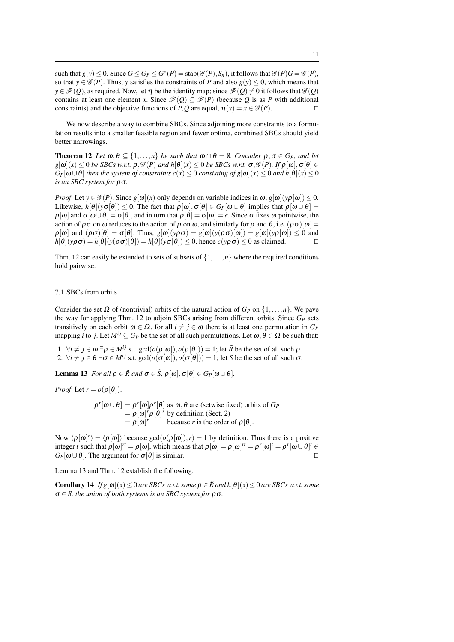such that  $g(y) \le 0$ . Since  $G \le G_P \le G^*(P) = \text{stab}(\mathscr{G}(P), S_n)$ , it follows that  $\mathscr{G}(P)G = \mathscr{G}(P)$ , so that  $y \in \mathscr{G}(P)$ . Thus, *y* satisfies the constraints of *P* and also  $g(y) \le 0$ , which means that  $y \in \mathscr{F}(Q)$ , as required. Now, let  $\eta$  be the identity map; since  $\mathscr{F}(Q) \neq 0$  it follows that  $\mathscr{G}(Q)$ contains at least one element *x*. Since  $\mathcal{F}(Q) \subseteq \mathcal{F}(P)$  (because Q is as P with additional constraints) and the objective functions of *P*, *Q* are equal,  $\eta(x) = x \in \mathcal{G}(P)$ . □

We now describe a way to combine SBCs. Since adjoining more constraints to a formulation results into a smaller feasible region and fewer optima, combined SBCs should yield better narrowings.

**Theorem 12** *Let*  $\omega, \theta \subseteq \{1, ..., n\}$  *be such that*  $\omega \cap \theta = \emptyset$ *. Consider*  $\rho, \sigma \in G_P$ *, and let*  $g[\omega](x) < 0$  *be SBCs w.r.t.*  $\rho, \mathscr{G}(P)$  *and h*[ $\theta$ ](*x*)  $\leq 0$  *be SBCs w.r.t.*  $\sigma, \mathscr{G}(P)$ *. If*  $\rho[\omega]$ *,*  $\sigma[\theta] \in$  $G_P[\omega \cup \theta]$  *then the system of constraints c(x)*  $\leq 0$  *consisting of g*[ $\omega$ ](*x)*  $\leq 0$  *and h*[ $\theta$ ](*x)*  $\leq 0$ *is an SBC system for* ρσ*.*

*Proof* Let  $y \in \mathcal{G}(P)$ . Since  $g[\omega](x)$  only depends on variable indices in  $\omega$ ,  $g[\omega](y \rho[\omega]) \leq 0$ . Likewise,  $h[\theta](\gamma \sigma[\theta]) \leq 0$ . The fact that  $\rho[\omega], \sigma[\theta] \in G_P[\omega \cup \theta]$  implies that  $\rho[\omega \cup \theta] =$  $\rho[\omega]$  and  $\sigma[\omega \cup \theta] = \sigma[\theta]$ , and in turn that  $\rho[\theta] = \sigma[\omega] = e$ . Since  $\sigma$  fixes  $\omega$  pointwise, the action of  $\rho \sigma$  on  $\omega$  reduces to the action of  $\rho$  on  $\omega$ , and similarly for  $\rho$  and  $\theta$ , i.e.  $(\rho \sigma)[\omega]$  =  $\rho[\omega]$  and  $(\rho \sigma)[\theta] = \sigma[\theta]$ . Thus,  $g[\omega](\gamma \rho \sigma) = g[\omega](\gamma \rho \sigma)[\omega] = g[\omega](\gamma \rho[\omega]) \leq 0$  and  $h[\theta](y\rho\sigma) = h[\theta](y(\rho\sigma)[\theta]) = h[\theta](y\sigma[\theta]) \leq 0$ , hence  $c(y\rho\sigma) \leq 0$  as claimed. □

Thm. 12 can easily be extended to sets of subsets of  $\{1,\ldots,n\}$  where the required conditions hold pairwise.

## 7.1 SBCs from orbits

Consider the set  $\Omega$  of (nontrivial) orbits of the natural action of  $G_P$  on  $\{1,\ldots,n\}$ . We pave the way for applying Thm. 12 to adjoin SBCs arising from different orbits. Since *G<sup>P</sup>* acts transitively on each orbit  $\omega \in \Omega$ , for all  $i \neq j \in \omega$  there is at least one permutation in  $G_P$ mapping *i* to *j*. Let  $M^{ij} \subseteq G_P$  be the set of all such permutations. Let  $\omega, \theta \in \Omega$  be such that:

1.  $\forall i \neq j \in \omega \exists \rho \in M^{ij}$  s.t.  $gcd(o(\rho[\omega]), o(\rho[\theta])) = 1$ ; let  $\tilde{R}$  be the set of all such  $\rho$ 2.  $\forall i \neq j \in \theta \exists \sigma \in M^{ij}$  s.t.  $gcd(o(\sigma[\omega]), o(\sigma[\theta])) = 1$ ; let  $\tilde{S}$  be the set of all such  $\sigma$ .

**Lemma 13** *For all*  $\rho \in \tilde{R}$  *and*  $\sigma \in \tilde{S}$ ,  $\rho[\omega], \sigma[\theta] \in G_P[\omega \cup \theta]$ *.* 

*Proof* Let  $r = o(\rho[\theta]).$ 

 $\rho^r[\omega \cup \theta] = \rho^r[\omega] \rho^r[\theta]$  as  $\omega, \theta$  are (setwise fixed) orbits of  $G_P$  $= \rho[\omega]^r \rho[\theta]^r$  by definition (Sect. 2)  $= \rho [\omega]^r$ because *r* is the order of  $\rho[\theta]$ .

Now  $\langle \rho[\omega]^r \rangle = \langle \rho[\omega] \rangle$  because gcd $(\rho[\omega]), r$  = 1 by definition. Thus there is a positive integer *t* such that  $\rho[\omega]^{rt} = \rho[\omega]$ , which means that  $\rho[\omega] = \rho[\omega]^{rt} = \rho^r[\omega]^t = \rho^r[\omega \cup \theta]^t \in \Omega$  $G_P[\omega \cup \theta]$ . The argument for  $\sigma[\theta]$  is similar. □

Lemma 13 and Thm. 12 establish the following.

**Corollary 14** *If*  $g[\omega](x) \leq 0$  *are SBCs w.r.t. some*  $\rho \in \tilde{R}$  *and h*[ $\theta$ ](*x*)  $\leq 0$  *are SBCs w.r.t. some*  $\sigma \in \tilde{S}$ , the union of both systems is an SBC system for  $\rho \sigma$ .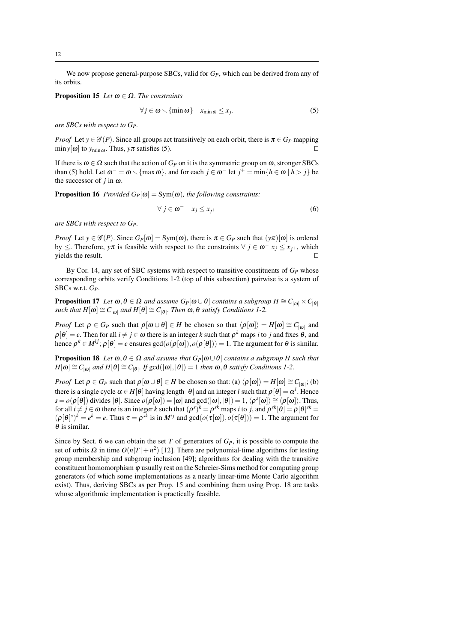We now propose general-purpose SBCs, valid for  $G_P$ , which can be derived from any of its orbits.

**Proposition 15** *Let*  $\omega \in \Omega$ *. The constraints* 

$$
\forall j \in \omega \smallsetminus \{\min \omega\} \quad x_{\min \omega} \leq x_j. \tag{5}
$$

*are SBCs with respect to GP.*

*Proof* Let  $y \in \mathcal{G}(P)$ . Since all groups act transitively on each orbit, there is  $\pi \in G_P$  mapping  $\min y[\omega]$  to  $y_{\min \omega}$ . Thus,  $y\pi$  satisfies (5). □

If there is  $\omega \in \Omega$  such that the action of  $G_P$  on it is the symmetric group on  $\omega$ , stronger SBCs than (5) hold. Let  $\omega^- = \omega \setminus \{\max \omega\}$ , and for each  $j \in \omega^-$  let  $j^+ = \min\{h \in \omega \mid h > j\}$  be the successor of  $j$  in  $\omega$ .

**Proposition 16** *Provided*  $G_P[\omega] = \text{Sym}(\omega)$ *, the following constraints:* 

$$
\forall j \in \omega^- \quad x_j \le x_{j^+} \tag{6}
$$

*are SBCs with respect to GP.*

*Proof* Let  $y \in \mathscr{G}(P)$ . Since  $G_P[\omega] = \text{Sym}(\omega)$ , there is  $\pi \in G_P$  such that  $(y\pi)[\omega]$  is ordered by  $\leq$ . Therefore,  $y\pi$  is feasible with respect to the constraints  $\forall j \in \omega^ x_j \leq x_{j^+}$ , which yields the result. □

By Cor. 14, any set of SBC systems with respect to transitive constituents of *G<sup>P</sup>* whose corresponding orbits verify Conditions 1-2 (top of this subsection) pairwise is a system of SBCs w.r.t. *GP*.

**Proposition 17** *Let*  $\omega, \theta \in \Omega$  *and assume*  $G_P[\omega \cup \theta]$  *contains a subgroup*  $H \cong C_{|\omega|} \times C_{|\theta|}$  $\mathcal{L}_{s}$  *such that*  $H[\omega] \cong C_{|\omega|}$  *and*  $H[\theta] \cong C_{|\theta|}$ *. Then*  $\omega, \theta$  *satisfy Conditions 1-2.* 

*Proof* Let  $\rho \in G_P$  such that  $\rho[\omega \cup \theta] \in H$  be chosen so that  $\langle \rho[\omega] \rangle = H[\omega] \cong C_{|\omega|}$  and  $\rho[\theta] = e$ . Then for all  $i \neq j \in \omega$  there is an integer *k* such that  $\rho^k$  maps *i* to *j* and fixes  $\theta$ , and hence  $\rho^k \in M^{ij}$ ;  $\rho[\theta] = e$  ensures  $gcd(o(\rho[\omega]), o(\rho[\theta])) = 1$ . The argument for  $\theta$  is similar.

**Proposition 18** *Let*  $\omega, \theta \in \Omega$  *and assume that*  $G_P[\omega \cup \theta]$  *contains a subgroup H such that*  $H[\omega] \cong C_{|\omega|}$  *and*  $H[\theta] \cong C_{|\theta|}$ . *If* gcd( $|\omega|, |\theta|$ ) = 1 *then*  $\omega, \theta$  *satisfy Conditions 1-2.* 

*Proof* Let  $\rho \in G_P$  such that  $\rho[\omega \cup \theta] \in H$  be chosen so that: (a)  $\langle \rho[\omega] \rangle = H[\omega] \cong C_{|\omega|}$ ; (b) there is a single cycle  $\alpha \in H[\theta]$  having length  $|\theta|$  and an integer *l* such that  $\rho[\theta] = \alpha^l$ . Hence  $s = o(\rho[\theta])$  divides  $|\theta|$ . Since  $o(\rho[\omega]) = |\omega|$  and  $gcd(|\omega|, |\theta|) = 1$ ,  $\langle \rho^s[\omega] \rangle \cong \langle \rho[\omega] \rangle$ . Thus, for all  $i \neq j \in \omega$  there is an integer *k* such that  $(\rho^s)^k = \rho^{sk}$  maps *i* to *j*, and  $\rho^{sk}[\theta] = \rho[\theta]^{sk} =$  $(\rho[\theta])^k = e^k = e$ . Thus  $\tau = \rho^{sk}$  is in *M*<sup>*i*</sup> and gcd( $o(\tau[\omega]), o(\tau[\theta]) = 1$ . The argument for  $\theta$  is similar.

Since by Sect. 6 we can obtain the set *T* of generators of *GP*, it is possible to compute the set of orbits  $\Omega$  in time  $O(n|T|+n^2)$  [12]. There are polynomial-time algorithms for testing group membership and subgroup inclusion [49]; algorithms for dealing with the transitive constituent homomorphism  $\varphi$  usually rest on the Schreier-Sims method for computing group generators (of which some implementations as a nearly linear-time Monte Carlo algorithm exist). Thus, deriving SBCs as per Prop. 15 and combining them using Prop. 18 are tasks whose algorithmic implementation is practically feasible.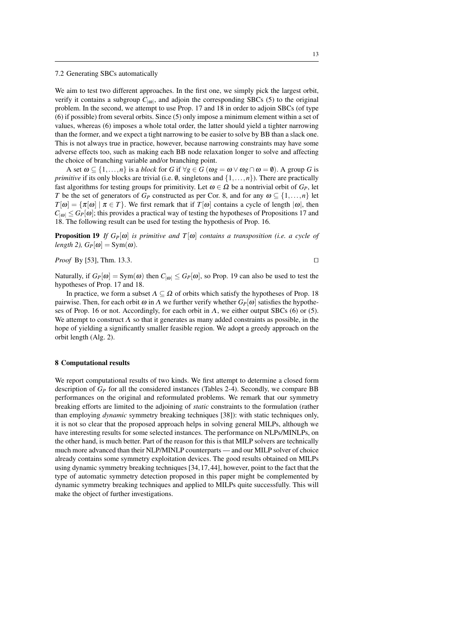#### 7.2 Generating SBCs automatically

We aim to test two different approaches. In the first one, we simply pick the largest orbit, verify it contains a subgroup  $C_{|\omega|}$ , and adjoin the corresponding SBCs (5) to the original problem. In the second, we attempt to use Prop. 17 and 18 in order to adjoin SBCs (of type (6) if possible) from several orbits. Since (5) only impose a minimum element within a set of values, whereas (6) imposes a whole total order, the latter should yield a tighter narrowing than the former, and we expect a tight narrowing to be easier to solve by BB than a slack one. This is not always true in practice, however, because narrowing constraints may have some adverse effects too, such as making each BB node relaxation longer to solve and affecting the choice of branching variable and/or branching point.

A set  $\omega \subseteq \{1, \ldots, n\}$  is a *block* for *G* if  $\forall g \in G$  ( $\omega g = \omega \vee \omega g \cap \omega = \emptyset$ ). A group *G* is *primitive* if its only blocks are trivial (i.e.  $\emptyset$ , singletons and  $\{1, \ldots, n\}$ ). There are practically fast algorithms for testing groups for primitivity. Let  $\omega \in \Omega$  be a nontrivial orbit of  $G_P$ , let *T* be the set of generators of *G<sub>P</sub>* constructed as per Cor. 8, and for any  $\omega \subseteq \{1, \ldots, n\}$  let  $T[\omega] = {\pi[\omega] | \pi \in T}$ . We first remark that if  $T[\omega]$  contains a cycle of length  $|\omega|$ , then  $C_{|\omega|} \leq G_P[\omega]$ ; this provides a practical way of testing the hypotheses of Propositions 17 and 18. The following result can be used for testing the hypothesis of Prop. 16.

**Proposition 19** *If*  $G_P[\omega]$  *is primitive and*  $T[\omega]$  *contains a transposition (i.e. a cycle of length 2),*  $G_P[\omega] = \text{Sym}(\omega)$ .

*Proof* By [53], Thm. 13.3. □

Naturally, if  $G_P[\omega] = \text{Sym}(\omega)$  then  $C_{|\omega|} \leq G_P[\omega]$ , so Prop. 19 can also be used to test the hypotheses of Prop. 17 and 18.

In practice, we form a subset  $\Lambda \subseteq \Omega$  of orbits which satisfy the hypotheses of Prop. 18 pairwise. Then, for each orbit  $\omega$  in  $\Lambda$  we further verify whether  $G_P[\omega]$  satisfies the hypotheses of Prop. 16 or not. Accordingly, for each orbit in  $\Lambda$ , we either output SBCs (6) or (5). We attempt to construct  $\Lambda$  so that it generates as many added constraints as possible, in the hope of yielding a significantly smaller feasible region. We adopt a greedy approach on the orbit length (Alg. 2).

#### **8 Computational results**

We report computational results of two kinds. We first attempt to determine a closed form description of  $G_P$  for all the considered instances (Tables 2-4). Secondly, we compare BB performances on the original and reformulated problems. We remark that our symmetry breaking efforts are limited to the adjoining of *static* constraints to the formulation (rather than employing *dynamic* symmetry breaking techniques [38]): with static techniques only, it is not so clear that the proposed approach helps in solving general MILPs, although we have interesting results for some selected instances. The performance on NLPs/MINLPs, on the other hand, is much better. Part of the reason for this is that MILP solvers are technically much more advanced than their NLP/MINLP counterparts — and our MILP solver of choice already contains some symmetry exploitation devices. The good results obtained on MILPs using dynamic symmetry breaking techniques [34,17,44], however, point to the fact that the type of automatic symmetry detection proposed in this paper might be complemented by dynamic symmetry breaking techniques and applied to MILPs quite successfully. This will make the object of further investigations.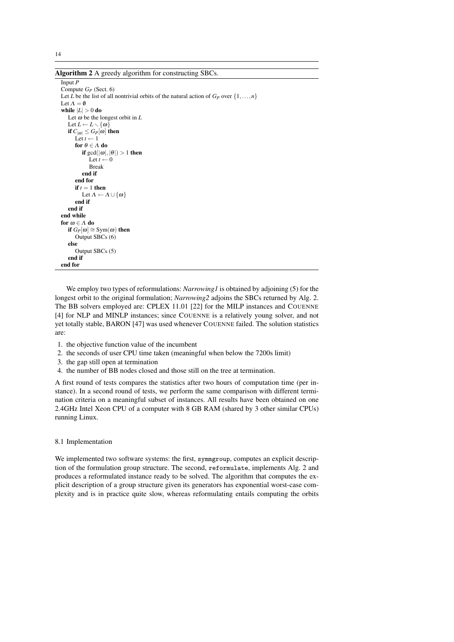**Algorithm 2** A greedy algorithm for constructing SBCs.

```
Input P
Compute GP (Sect. 6)
Let \overrightarrow{L} be the list of all nontrivial orbits of the natural action of G_P over \{1,\ldots,n\}Let \Lambda = \emptysetwhile |L| > 0 do
   Let \omega be the longest orbit in LLet L \leftarrow L \setminus \{\omega\}if C_{|\omega|} \leq G_P[\omega] then
       Let t \leftarrow 1for \theta \in \Lambda do
           if gcd(|\omega|, |\theta|) > 1 then
               Let t \leftarrow 0Break
           end if
       end for
       if t = 1 then
           Let \Lambda \leftarrow \Lambda \cup \{\omega\}end if
   end if
end while
for ω ∈ Λ do
   if G_P[\omega] \cong \text{Sym}(\omega) then
       Output SBCs (6)
   else
       Output SBCs (5)
   end if
end for
```
We employ two types of reformulations: *Narrowing1* is obtained by adjoining (5) for the longest orbit to the original formulation; *Narrowing2* adjoins the SBCs returned by Alg. 2. The BB solvers employed are: CPLEX 11.01 [22] for the MILP instances and COUENNE [4] for NLP and MINLP instances; since COUENNE is a relatively young solver, and not yet totally stable, BARON [47] was used whenever COUENNE failed. The solution statistics are:

- 1. the objective function value of the incumbent
- 2. the seconds of user CPU time taken (meaningful when below the 7200s limit)
- 3. the gap still open at termination
- 4. the number of BB nodes closed and those still on the tree at termination.

A first round of tests compares the statistics after two hours of computation time (per instance). In a second round of tests, we perform the same comparison with different termination criteria on a meaningful subset of instances. All results have been obtained on one 2.4GHz Intel Xeon CPU of a computer with 8 GB RAM (shared by 3 other similar CPUs) running Linux.

## 8.1 Implementation

We implemented two software systems: the first, symmgroup, computes an explicit description of the formulation group structure. The second, reformulate, implements Alg. 2 and produces a reformulated instance ready to be solved. The algorithm that computes the explicit description of a group structure given its generators has exponential worst-case complexity and is in practice quite slow, whereas reformulating entails computing the orbits

14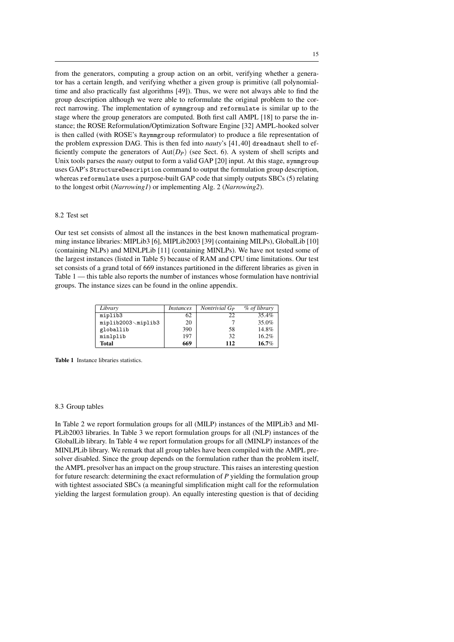from the generators, computing a group action on an orbit, verifying whether a generator has a certain length, and verifying whether a given group is primitive (all polynomialtime and also practically fast algorithms [49]). Thus, we were not always able to find the group description although we were able to reformulate the original problem to the correct narrowing. The implementation of symmgroup and reformulate is similar up to the stage where the group generators are computed. Both first call AMPL [18] to parse the instance; the ROSE Reformulation/Optimization Software Engine [32] AMPL-hooked solver is then called (with ROSE's Rsymmgroup reformulator) to produce a file representation of the problem expression DAG. This is then fed into *nauty*'s [41,40] dreadnaut shell to efficiently compute the generators of  $Aut(D_P)$  (see Sect. 6). A system of shell scripts and Unix tools parses the *nauty* output to form a valid GAP [20] input. At this stage, symmgroup uses GAP's StructureDescription command to output the formulation group description, whereas reformulate uses a purpose-built GAP code that simply outputs SBCs (5) relating to the longest orbit (*Narrowing1*) or implementing Alg. 2 (*Narrowing2*).

## 8.2 Test set

Our test set consists of almost all the instances in the best known mathematical programming instance libraries: MIPLib3 [6], MIPLib2003 [39] (containing MILPs), GlobalLib [10] (containing NLPs) and MINLPLib [11] (containing MINLPs). We have not tested some of the largest instances (listed in Table 5) because of RAM and CPU time limitations. Our test set consists of a grand total of 669 instances partitioned in the different libraries as given in Table 1 — this table also reports the number of instances whose formulation have nontrivial groups. The instance sizes can be found in the online appendix.

| Library            | <i>Instances</i> | Nontrivial G <sub>P</sub> | % of library |
|--------------------|------------------|---------------------------|--------------|
| miplib3            | 62               | 22                        | 35.4%        |
| miplib2003\miplib3 | 20               |                           | 35.0%        |
| globallib          | 390              | 58                        | 14.8%        |
| minlplib           | 197              | 32                        | 16.2%        |
| <b>Total</b>       | 669              | 112                       | 16.7%        |

**Table 1** Instance libraries statistics.

## 8.3 Group tables

In Table 2 we report formulation groups for all (MILP) instances of the MIPLib3 and MI-PLib2003 libraries. In Table 3 we report formulation groups for all (NLP) instances of the GlobalLib library. In Table 4 we report formulation groups for all (MINLP) instances of the MINLPLib library. We remark that all group tables have been compiled with the AMPL presolver disabled. Since the group depends on the formulation rather than the problem itself, the AMPL presolver has an impact on the group structure. This raises an interesting question for future research: determining the exact reformulation of *P* yielding the formulation group with tightest associated SBCs (a meaningful simplification might call for the reformulation yielding the largest formulation group). An equally interesting question is that of deciding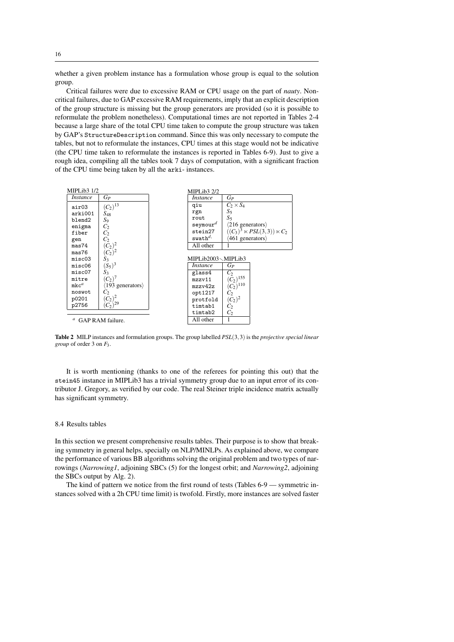whether a given problem instance has a formulation whose group is equal to the solution group.

Critical failures were due to excessive RAM or CPU usage on the part of *nauty*. Noncritical failures, due to GAP excessive RAM requirements, imply that an explicit description of the group structure is missing but the group generators are provided (so it is possible to reformulate the problem nonetheless). Computational times are not reported in Tables 2-4 because a large share of the total CPU time taken to compute the group structure was taken by GAP's StructureDescription command. Since this was only necessary to compute the tables, but not to reformulate the instances, CPU times at this stage would not be indicative (the CPU time taken to reformulate the instances is reported in Tables 6-9). Just to give a rough idea, compiling all the tables took 7 days of computation, with a significant fraction of the CPU time being taken by all the arki- instances.



**Table 2** MILP instances and formulation groups. The group labelled *PSL*(3,3) is the *projective special linear group* of order 3 on *F*3.

It is worth mentioning (thanks to one of the referees for pointing this out) that the stein45 instance in MIPLib3 has a trivial symmetry group due to an input error of its contributor J. Gregory, as verified by our code. The real Steiner triple incidence matrix actually has significant symmetry.

## 8.4 Results tables

In this section we present comprehensive results tables. Their purpose is to show that breaking symmetry in general helps, specially on NLP/MINLPs. As explained above, we compare the performance of various BB algorithms solving the original problem and two types of narrowings (*Narrowing1*, adjoining SBCs (5) for the longest orbit; and *Narrowing2*, adjoining the SBCs output by Alg. 2).

The kind of pattern we notice from the first round of tests (Tables 6-9 — symmetric instances solved with a 2h CPU time limit) is twofold. Firstly, more instances are solved faster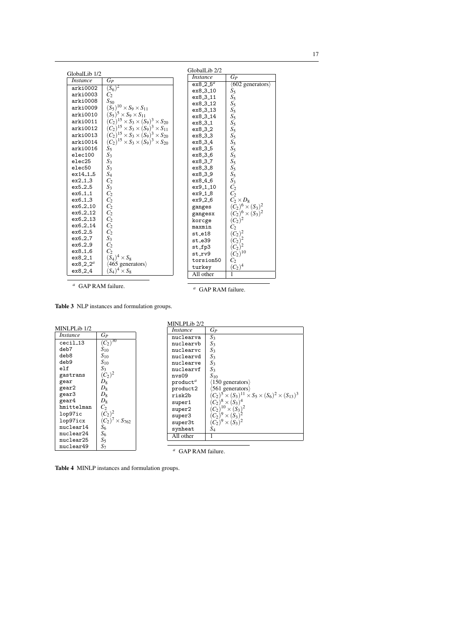| GlobalLib 1/2        |                                                      | GlobalLib <sub>2/2</sub> |                                    |
|----------------------|------------------------------------------------------|--------------------------|------------------------------------|
| <i>Instance</i>      | $G_P$                                                | <b>Instance</b>          | $G_P$                              |
|                      |                                                      | ex8.2.5 <sup>a</sup>     | $\langle 602$ generators $\rangle$ |
| arki0002             | $(S_6)^2$                                            | ex8_3_10                 | $S_5$                              |
| arki0003             | C <sub>2</sub>                                       | ex8_3_11                 | $S_5$                              |
| arki0008             | ${\cal S}_{50}$                                      | ex8_3_12                 | $S_5$                              |
| arki0009             | $(S_5)^{10} \times S_9 \times S_{11}$                | ex8_3_13                 | $S_5$                              |
| arki0010             | $(S_5)^5 \times S_9 \times S_{11}$                   | ex8_3_14                 | $S_5$                              |
| arki0011             | $(C_2)^{15} \times S_3 \times (S_9)^3 \times S_{20}$ | ex8.3.1                  | $S_5$                              |
| arki0012             | $(C_2)^{15} \times S_3 \times (S_9)^3 \times S_{11}$ | ex8_3_2                  | $S_5$                              |
| arki0013             | $(C_2)^{15} \times S_3 \times (S_9)^3 \times S_{20}$ | ex8_3_3                  | $S_5$                              |
| arki0014             | $(C_2)^{15} \times S_3 \times (S_9)^3 \times S_{20}$ | $ex8_{-}3_{-}4$          | $S_5$                              |
| arki0016             | S5                                                   | ex8_3_5                  | $S_5$                              |
| elec100              | $S_3$                                                | ex8_3_6                  | $S_5$                              |
| elec25               | $S_3$                                                | ex8.3.7                  | $S_5$                              |
| elec50               | $S_3$                                                | ex8_3_8                  | $S_5$                              |
| ex14.1.5             | $S_4$                                                | ex8_3_9                  | $S_5$                              |
| ex2.1.3              | C <sub>2</sub>                                       | ex8 <sub>-4-6</sub>      | $S_3$                              |
| ex5.2.5              | $S_3$                                                | ex9_1_10                 | $C_2$                              |
| ex6.1.1              | C <sub>2</sub>                                       | ex9.1.8                  | C <sub>2</sub>                     |
| $ex6_{-1.3}$         | $C_2$                                                | $ex9-2-6$                | $C_2 \times D_8$                   |
| ex6.2.10             | $C_2$                                                | ganges                   | $(C_2)^6 \times (S_3)^2$           |
| ex6_2_12             | $C_2$                                                | gangesx                  | $(C_2)^6 \times (S_3)^2$           |
| ex6_2_13             | $C_2$                                                | korcge                   | $(C_2)^2$                          |
| ex6_2_14             | $C_2$                                                | maxmin                   | $C_2$                              |
| ex6 <sub>-2-5</sub>  | C <sub>2</sub>                                       | $st_e18$                 | $(C_2)^2$                          |
| ex6.2.7              | $S_3$                                                | st_e39                   | $\overline{(C_2)^2}$               |
| $ex6-2-9$            | C <sub>2</sub>                                       | $st_fp3$                 | $(C_2)^2$                          |
| $ex8-1.6$            | C <sub>2</sub>                                       | st_rv9                   | $(C_2)^{10}$                       |
| ex8.2.1              | $(S_4)^4 \times S_8$                                 | torsion50                | C,                                 |
| ex8.2.2 <sup>a</sup> | $(465)$ generators)                                  | turkey                   | $(C_2)^4$                          |
| ex8.2.4              | $(S_4)^4 \times S_8$                                 | All other                | $\overline{1}$                     |
|                      |                                                      |                          |                                    |

 $\,a\,$  GAP RAM failure.

 $a$  GAP RAM failure.

Table 3 NLP instances and formulation groups.

|                 |                          | MINLPLib 2/2                  |                                                                         |
|-----------------|--------------------------|-------------------------------|-------------------------------------------------------------------------|
| MINLPLib 1/2    |                          | <i>Instance</i>               | Gp                                                                      |
| <i>Instance</i> | Gр                       | nuclearva                     | $S_3$                                                                   |
| $cci1_13$       | $(C_2)^{30}$             | nuclearvb                     | $S_3$                                                                   |
| deb7            | $S_{10}$                 | nuclearvc                     | $S_3$                                                                   |
| deb8            | $S_{10}$                 | nuclearvd                     | $S_3$                                                                   |
| deb9            | $S_{10}$                 | nuclearve                     | $S_3$                                                                   |
| e1f             | $S_3$                    | nuclearvf                     | $S_3$                                                                   |
| gastrans        | $(C_2)^2$                | nys09                         | $S_{10}$                                                                |
| gear            | $D_8$                    | product <sup>a</sup>          | $\langle 150 \rangle$ generators)                                       |
| gear2           | $D_8$                    | product2                      | $\langle 561 \rangle$ generators                                        |
| gear3           | $D_8$                    | risk2b                        | $(C_2)^5 \times (S_3)^{11} \times S_5 \times (S_6)^2 \times (S_{13})^3$ |
| gear4           | $D_8$                    | super1                        | $(C_2)^8 \times (S_3)^4$                                                |
| hmittelman      | $C_2$                    | super2                        | $(C_2)^{10} \times (S_3)^2$                                             |
| lop97ic         | $(C_2)^2$                | super3                        | $(C_2)^9 \times (S_3)^2$                                                |
| lop97icx        | $(C_2)^7 \times S_{762}$ | super3t                       | $(C_2)^9 \times (S_3)^2$                                                |
| nuclear14       | $S_6$                    | synheat                       | $S_4$                                                                   |
| nuclear24       | $S_6$                    | All other                     |                                                                         |
| nuclear25       | S5                       |                               |                                                                         |
| nuclear49       | $S_7$                    |                               |                                                                         |
|                 |                          | <sup>a</sup> GAP RAM failure. |                                                                         |

Table 4 MINLP instances and formulation groups.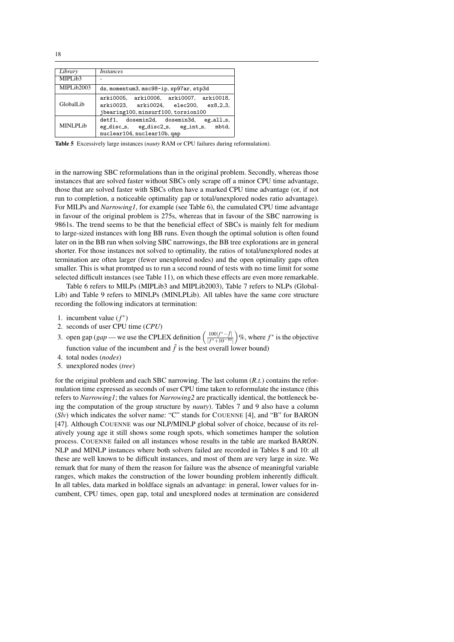| Library    | <i>Instances</i>                                                                                                        |
|------------|-------------------------------------------------------------------------------------------------------------------------|
| MIPLib3    |                                                                                                                         |
| MIPLib2003 | ds, momentum3, msc98-ip, sp97ar, stp3d                                                                                  |
| GlobalLib  | arki0005, arki0006, arki0007, arki0018,<br>arki0023. arki0024. elec200. ex8_2_3.<br>jbearing100, minsurf100, torsion100 |
| MINLPLib   | detf1, dosemin2d, dosemin3d,<br>$eg_a11_s$<br>mbtd.<br>eg_disc_s, eg_disc2_s, eg_int_s,<br>nuclear104, nuclear10b, qap  |

**Table 5** Excessively large instances (*nauty* RAM or CPU failures during reformulation).

in the narrowing SBC reformulations than in the original problem. Secondly, whereas those instances that are solved faster without SBCs only scrape off a minor CPU time advantage, those that are solved faster with SBCs often have a marked CPU time advantage (or, if not run to completion, a noticeable optimality gap or total/unexplored nodes ratio advantage). For MILPs and *Narrowing1*, for example (see Table 6), the cumulated CPU time advantage in favour of the original problem is 275s, whereas that in favour of the SBC narrowing is 9861s. The trend seems to be that the beneficial effect of SBCs is mainly felt for medium to large-sized instances with long BB runs. Even though the optimal solution is often found later on in the BB run when solving SBC narrowings, the BB tree explorations are in general shorter. For those instances not solved to optimality, the ratios of total/unexplored nodes at termination are often larger (fewer unexplored nodes) and the open optimality gaps often smaller. This is what promtped us to run a second round of tests with no time limit for some selected difficult instances (see Table 11), on which these effects are even more remarkable.

Table 6 refers to MILPs (MIPLib3 and MIPLib2003), Table 7 refers to NLPs (Global-Lib) and Table 9 refers to MINLPs (MINLPLib). All tables have the same core structure recording the following indicators at termination:

- 1. incumbent value  $(f^*)$
- 2. seconds of user CPU time (*CPU*)
- 3. open gap (*gap* we use the CPLEX definition  $\left(\frac{100|f^* \bar{f}|}{|f^* + 10 10|}\right)$  $\frac{100|f^* - \bar{f}|}{|f^* + 10^{-10}|}$  %, where  $f^*$  is the objective function value of the incumbent and  $\bar{f}$  is the best overall lower bound)
- 4. total nodes (*nodes*)
- 5. unexplored nodes (*tree*)

for the original problem and each SBC narrowing. The last column (*R.t.*) contains the reformulation time expressed as seconds of user CPU time taken to reformulate the instance (this refers to *Narrowing1*; the values for *Narrowing2* are practically identical, the bottleneck being the computation of the group structure by *nauty*). Tables 7 and 9 also have a column  $(Sly)$  which indicates the solver name: "C" stands for COUENNE [4], and "B" for BARON [47]. Although COUENNE was our NLP/MINLP global solver of choice, because of its relatively young age it still shows some rough spots, which sometimes hamper the solution process. COUENNE failed on all instances whose results in the table are marked BARON. NLP and MINLP instances where both solvers failed are recorded in Tables 8 and 10: all these are well known to be difficult instances, and most of them are very large in size. We remark that for many of them the reason for failure was the absence of meaningful variable ranges, which makes the construction of the lower bounding problem inherently difficult. In all tables, data marked in boldface signals an advantage: in general, lower values for incumbent, CPU times, open gap, total and unexplored nodes at termination are considered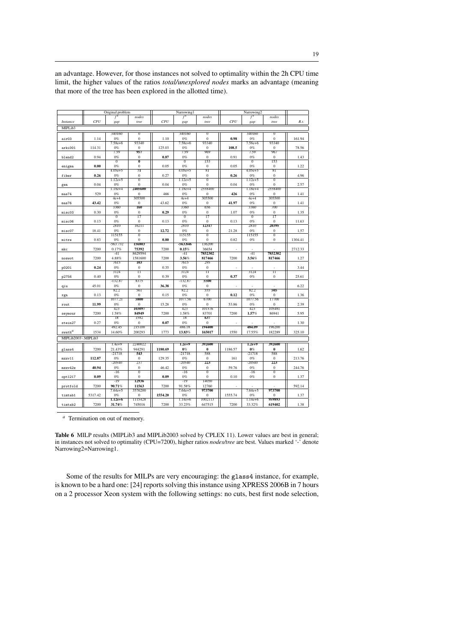|                     |         | Original problem |                         |         | Narrowing1        |                     |         | Narrowing2        |                         |         |
|---------------------|---------|------------------|-------------------------|---------|-------------------|---------------------|---------|-------------------|-------------------------|---------|
|                     |         | f                | nodes                   |         | $\overline{f}^*$  | nodes               |         | f                 | nodes                   |         |
| <i>Instance</i>     | CPU     | gap              | tree                    | CPU     | gap               | tree                | CPU     | gap               | tree                    | R.t.    |
|                     |         |                  |                         |         |                   |                     |         |                   |                         |         |
| MIPLib3             |         |                  |                         |         |                   |                     |         |                   |                         |         |
|                     |         | 340160           | $\overline{0}$          |         | 340160            | $\overline{0}$      |         | 340160            | $\overline{0}$          |         |
| air03               | 1.14    | 0%               | $\bf{0}$                | 1.10    | 0%                | $\bf{0}$            | 0.98    | 0%                | $\bf{0}$                | 161.94  |
|                     |         | $7.58e+6$        | 93340                   |         | $7.58e + 6$       | 93340               |         | $7.58e + 6$       | 93340                   |         |
| arki001             | 114.31  | 0%               | $\mathbf{0}$            | 125.03  | 0%                | $\mathbf{0}$        | 108.5   | 0%                | $\overline{0}$          | 78.56   |
|                     |         | 7.59             | 957                     |         | 7.59              | 969                 |         | 7.59              | 967                     |         |
| blend2              | 0.94    | 0%               | $\mathbf{0}$            | 0.87    | 0%                | $\mathbf{0}$        | 0.91    | 0%                | $\overline{0}$          | 1.43    |
|                     |         | $\overline{0}$   | $\overline{\mathbf{0}}$ |         | $\overline{0}$    | 153                 |         | $\overline{0}$    | 153                     |         |
| enigma              | 0.00    | 0%               | $\mathbf{0}$            | 0.05    | 0%                | $\bf{0}$            | 0.05    | 0%                | $\boldsymbol{0}$        | 1.22    |
|                     |         | $4.05e + 5$      | 71                      |         | $4.05e + 5$       | 81                  |         | $4.05e + 5$       | 81                      |         |
| fiber               | 0.26    | 0%               | $\boldsymbol{0}$        | 0.27    | 0%                | $\mathbf{0}$        | 0.26    | 0%                | $\overline{0}$          | 4.96    |
|                     |         | $1.12e+5$        | $\overline{0}$          |         | $1.12e+5$         | $\overline{0}$      |         | $1.12e + 5$       | $\overline{0}$          |         |
| gen                 | 0.04    | 0%               | $\mathbf{0}$            | 0.04    | 0%                | $\overline{0}$      | 0.04    | 0%                | $\overline{0}$          | 2.57    |
|                     |         | $1.18e+4$        | 2405600                 |         | $1.18e+4$         | 2558400             |         | $1.18e+4$         | 2558400                 |         |
| mas74               | 529     | 0%               | $\overline{0}$          | 466     | 0%                | $\bf{0}$            | 426     | 0%                | $\overline{0}$          | 1.41    |
|                     |         | 4e+4             | 305500                  |         | 4e+4              | 305500              |         | $4e+4$            | 305500                  |         |
| mas76               | 43.42   | 0%               | $\overline{0}$          | 43.62   | 0%                | $\bf{0}$            | 41.97   | 0%                | $\overline{0}$          | 1.41    |
|                     |         | 3360             | 160                     |         | 3360              | 656                 |         | 3360              | 700                     |         |
|                     |         | 0%               | $\mathbf{0}$            |         | 0%                | $\mathbf{0}$        |         | 0%                | $\mathbf{0}$            |         |
| misc03              | 0.30    | $\overline{0}$   | 17                      | 0.29    | $\overline{0}$    | $\overline{17}$     | 1.07    | $\overline{0}$    | $\overline{17}$         | 1.35    |
|                     |         |                  |                         |         |                   |                     |         |                   |                         |         |
| misc06              | 0.13    | 0%               | $\overline{0}$          | 0.13    | 0%                | $\mathbf{0}$        | 0.13    | 0%                | $\overline{0}$<br>20395 | 11.63   |
|                     |         | 2810             | 16211                   |         | 2810              | 12317               |         | 2810              |                         |         |
| misc07              | 18.41   | 0%               | $\mathbf{0}$            | 12.72   | 0%                | $\mathbf{0}$        | 21.28   | 0%                | $\mathbf{0}$            | 1.57    |
|                     |         | 115155           | $\overline{0}$          |         | 115155            | $\overline{0}$      |         | 115155            | $\overline{0}$          |         |
| mitre               | 0.83    | 0%               | $\Omega$                | 0.80    | 0%                | $\Omega$            | 0.82    | 0%                | $\Omega$                | 1304.41 |
|                     |         | $-563.732$       | 156803                  |         | -563.846          | 136200              |         |                   |                         |         |
| mkc                 | 7200    | 0.17%            | 75392                   | 7200    | 0.15%             | 36654               |         |                   |                         | 2712.33 |
|                     |         | $-41$            | 8629594                 |         | $-41$             | 7852302             |         | $-41$             | 7852302                 |         |
| noswot              | 7200    | 4.88%            | 1581600                 | 7200    | 3.56%             | 817466              | 7200    | 3.56%             | 817466                  | 1.27    |
|                     |         | 7615             | 103                     |         | 7615              | 295                 |         |                   |                         |         |
| p0201               | 0.24    | 0%               | $\mathbf{0}$            | 0.35    | 0%                | $\mathbf{0}$        |         |                   |                         | 3.44    |
|                     |         | 3124             | π                       |         | 3124              | π                   |         | 3124              | π                       |         |
| p2756               | 0.40    | 0%               | $\bf{0}$                | 0.39    | 0%                | $\overline{0}$      | 0.37    | 0%                | $\bf{0}$                | 25.61   |
|                     |         | $-132.87$        | 8375                    |         | $-132.87$         | 5500                |         |                   |                         |         |
| qiu                 | 45.01   | 0%               | $\mathbf{0}$            | 36.38   | 0%                | $\mathbf{0}$        |         |                   |                         | 6.22    |
|                     |         | 82.2             | 561                     |         | 82.2              | 555                 |         | 82.2              | 505                     |         |
| rgn                 | 0.13    | 0%               | $\Omega$                | 0.15    | 0%                | $\Omega$            | 0.12    | 0%                | $\Omega$                | 1.36    |
|                     |         | 1077.21          | 5800                    |         | 1077.56           | 6700                |         | 1077.56           | 17700                   |         |
| rout                | 11.99   | 0%               | $\mathbf{0}$            | 15.28   | 0%                | $\bf{0}$            | 53.86   | 0%                | $\overline{0}$          | 2.39    |
|                     |         | 423              | 103097                  |         | 423               | 101576              |         | 423               | 105481                  |         |
| seymour             | 7200    | 1.58%            | 84949                   | 7200    | 1.58%             | 83701               | 7200    | 1.57%             | 86941                   | 5.95    |
|                     |         | 18               | 1582                    |         | 18                | 637                 |         |                   |                         |         |
| stein27             | 0.27    | 0%               | $\overline{0}$          | 0.07    | 0%                | $\Omega$            |         |                   |                         | 1.30    |
|                     |         | 492.45           | 215100                  |         | 486.18            | 194400              |         | 484.09            | 196200                  |         |
| $\texttt{swath}^a$  | 1534    | 14.60%           | 200293                  | 1773    | 13.83%            | 165017              | 1550    | 17.55%            | 182289                  | 325.10  |
|                     |         |                  |                         |         |                   |                     |         |                   |                         |         |
| MIPLib2003 \MIPLib3 |         |                  |                         |         |                   |                     |         |                   |                         |         |
|                     |         | $1.4e+9$         | 2240022                 |         | $1.2e+9$          | 392600              |         | $1.2e+9$          | 392600                  |         |
| glass4              | 7200    | 21.43%           | 944291                  | 1180.69 | 0%                | $\bf{0}$            | 1186.57 | 0%                | $\bf{0}$                | 1.62    |
|                     |         | $-21718$         | 543                     |         | -21718            | 588                 |         | $-21718$          | 588                     |         |
| mzzv11              | 112.87  | 0%               | $\mathbf{0}$            | 129.35  | 0%                | $\mathbf{0}$        | 161     | 0%                | $\mathbf{0}$            | 213.76  |
|                     |         | $-20540$         | 237                     |         | $-20540$          | 223                 |         | $-20540$          | 223                     |         |
| mzzv42z             | 40.94   | 0%               | $\bf{0}$                | 46.42   | 0%                | $\bf{0}$            | 59.76   | 0%                | $\mathbf{0}$            | 244.76  |
|                     |         | $-16$            | $\overline{0}$          |         | $-16$             | $\overline{0}$      |         | $-16$             | $\overline{0}$          |         |
| opt1217             | 0.09    | 0%               | $\overline{0}$          | 0.09    | 0%                | $\overline{0}$      | 0.10    | 0%                | $\overline{0}$          | 1.37    |
|                     |         | $-19$            | 12936                   |         | $-19$             | 14050               |         |                   |                         |         |
| protfold            | 7200    | 90.71%           | 11563                   | 7200    | 91.58%            | 12760               |         |                   |                         | 592.14  |
|                     |         | 7.64e+5          | 3576200                 |         | 7.64e+5           | 973700              |         | 7.64e+5           | 973700                  |         |
|                     |         | 0%               | $\overline{0}$          |         |                   |                     |         |                   | $\overline{0}$          |         |
| timtab1             | 5317.42 | $1.12e+6$        | 1115428                 | 1554.20 | 0%<br>$1.14e + 6$ | $\bf{0}$<br>1002113 | 1555.74 | 0%<br>$1.14e + 6$ | 959893                  | 1.37    |
|                     |         |                  |                         |         |                   |                     |         |                   |                         |         |
| timtab2             | 7200    | 31.74%           | 745016                  | 7200    | 33.23%            | 647515              | 7200    | 33.32%            | 619402                  | 1.38    |

an advantage. However, for those instances not solved to optimality within the 2h CPU time limit, the higher values of the ratios *total/unexplored nodes* marks an advantage (meaning that more of the tree has been explored in the allotted time).

*<sup>a</sup>* Termination on out of memory.

**Table 6** MILP results (MIPLib3 and MIPLib2003 solved by CPLEX 11). Lower values are best in general; in instances not solved to optimality (CPU=7200), higher ratios *nodes/tree* are best. Values marked '-' denote Narrowing2=Narrowing1.

Some of the results for MILPs are very encouraging: the glass4 instance, for example, is known to be a hard one: [24] reports solving this instance using XPRESS 2006B in 7 hours on a 2 processor Xeon system with the following settings: no cuts, best first node selection,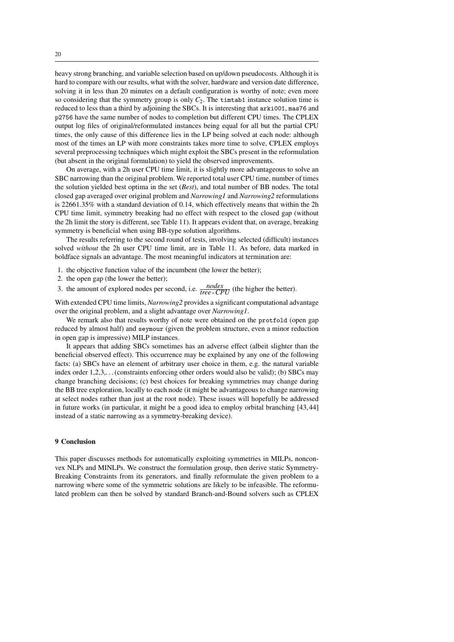heavy strong branching, and variable selection based on up/down pseudocosts. Although it is hard to compare with our results, what with the solver, hardware and version date difference, solving it in less than 20 minutes on a default configuration is worthy of note; even more so considering that the symmetry group is only  $C_2$ . The timerabilistance solution time is reduced to less than a third by adjoining the SBCs. It is interesting that arki001, mas76 and p2756 have the same number of nodes to completion but different CPU times. The CPLEX output log files of original/reformulated instances being equal for all but the partial CPU times, the only cause of this difference lies in the LP being solved at each node: although most of the times an LP with more constraints takes more time to solve, CPLEX employs several preprocessing techniques which might exploit the SBCs present in the reformulation (but absent in the original formulation) to yield the observed improvements.

On average, with a 2h user CPU time limit, it is slightly more advantageous to solve an SBC narrowing than the original problem. We reported total user CPU time, number of times the solution yielded best optima in the set (*Best*), and total number of BB nodes. The total closed gap averaged over original problem and *Narrowing1* and *Narrowing2* reformulations is 22661.35% with a standard deviation of 0.14, which effectively means that within the 2h CPU time limit, symmetry breaking had no effect with respect to the closed gap (without the 2h limit the story is different, see Table 11). It appears evident that, on average, breaking symmetry is beneficial when using BB-type solution algorithms.

The results referring to the second round of tests, involving selected (difficult) instances solved *without* the 2h user CPU time limit, are in Table 11. As before, data marked in boldface signals an advantage. The most meaningful indicators at termination are:

- 1. the objective function value of the incumbent (the lower the better);
- 2. the open gap (the lower the better);
- 3. the amount of explored nodes per second, i.e.  $\frac{nodes}{tree \times CPU}$  (the higher the better).

With extended CPU time limits, *Narrowing2* provides a significant computational advantage over the original problem, and a slight advantage over *Narrowing1*.

We remark also that results worthy of note were obtained on the protfold (open gap reduced by almost half) and seymour (given the problem structure, even a minor reduction in open gap is impressive) MILP instances.

It appears that adding SBCs sometimes has an adverse effect (albeit slighter than the beneficial observed effect). This occurrence may be explained by any one of the following facts: (a) SBCs have an element of arbitrary user choice in them, e.g. the natural variable index order 1,2,3,... (constraints enforcing other orders would also be valid); (b) SBCs may change branching decisions; (c) best choices for breaking symmetries may change during the BB tree exploration, locally to each node (it might be advantageous to change narrowing at select nodes rather than just at the root node). These issues will hopefully be addressed in future works (in particular, it might be a good idea to employ orbital branching [43,44] instead of a static narrowing as a symmetry-breaking device).

## **9 Conclusion**

This paper discusses methods for automatically exploiting symmetries in MILPs, nonconvex NLPs and MINLPs. We construct the formulation group, then derive static Symmetry-Breaking Constraints from its generators, and finally reformulate the given problem to a narrowing where some of the symmetric solutions are likely to be infeasible. The reformulated problem can then be solved by standard Branch-and-Bound solvers such as CPLEX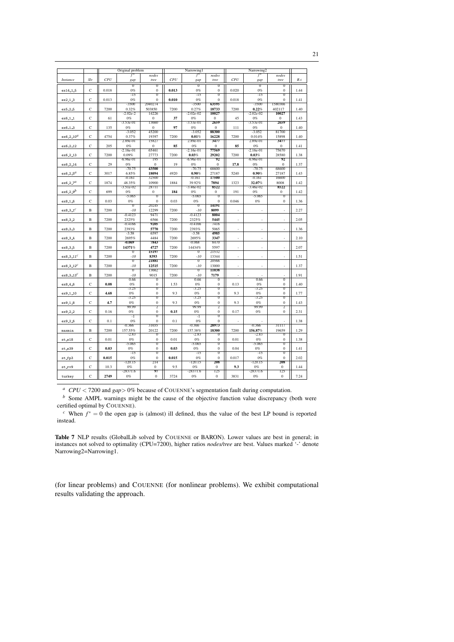|                       |              |       | Original problem        |                                  |       | Narrowing1              |                                    |       | Narrowing2           |                                    |      |
|-----------------------|--------------|-------|-------------------------|----------------------------------|-------|-------------------------|------------------------------------|-------|----------------------|------------------------------------|------|
|                       |              |       | f                       | nodes                            |       | $\overline{f}^*$        | nodes                              |       | $f^*$                | nodes                              |      |
| <i>Instance</i>       | Slv          | CPU   | gap                     | tree                             | CPU   | gap                     | tree                               | CPU   | gap                  | tree                               | R.t. |
| ex14_1_5              | $\mathbf C$  | 0.018 | $\overline{0}$<br>0%    | $\overline{0}$<br>$\overline{0}$ | 0.013 | $\overline{0}$<br>0%    | $\overline{0}$<br>$\mathbf{0}$     | 0.020 | $\overline{0}$<br>0% | $\overline{0}$<br>$\mathbf{0}$     | 1.44 |
|                       |              |       | $-15$                   | $\overline{0}$                   |       | $-15$                   | $\overline{0}$                     |       | $-15$                | ō                                  |      |
| ex2_1_3               | C            | 0.013 | 0%                      | $\bf{0}$                         | 0.010 | 0%                      | $\bf{0}$                           | 0.018 | 0%                   | $\bf{0}$                           | 1.41 |
|                       |              |       | $-3500$                 | 2040274                          |       | $-3500$                 | 63595                              |       | $-3500$              | 1580366                            |      |
| ex5_2_5               | $\mathbf C$  | 7200  | 0.32%<br>-2.02e-2       | 503850<br>14226                  | 7200  | 0.27%<br>$-2.02e-02$    | 18733<br>10027                     | 7200  | 0.22%<br>$-2.02e-02$ | 402117<br>10027                    | 1.40 |
| ex6 <sub>-1-1</sub>   | C            | 61    | 0%                      | $\overline{0}$                   | 37    | 0%                      | $\mathbf{0}$                       | 45    | 0%                   | $\overline{0}$                     | 1.43 |
|                       |              |       | $-3.53e-01$             | 13660                            |       | $-3.53e-01$             | 2659                               |       | $-3.53e-01$          | 2659                               |      |
| ex6_1_3               | $\mathbf C$  | 135   | 0%<br>$-3.052$          | $\overline{0}$<br>45200          | 97    | 0%<br>$-3.052$          | $\mathbf{0}$<br>88300              | 111   | 0%<br>$-3.052$       | $\mathbf{0}$<br>81700              | 1.40 |
| $ex6.2.10^{d}$        | $\mathbf C$  | 4754  | 0.37%                   | 19397                            | 7200  | 0.01%                   | 16228                              | 7200  | 0.014%               | 15898                              | 1.40 |
|                       |              |       | 2.89e-01                | 15827                            |       | 2.89e-01                | 3477                               |       | 2.89e-01             | 3477                               |      |
| ex6_2_12              | C            | 205   | 0%                      | 0<br>65461                       | 85    | 0%                      | $\boldsymbol{0}$<br>77569          | 85    | 0%                   | $\bf{0}$                           | 1.41 |
| ex6 <sub>-2-13</sub>  | $\mathsf{C}$ | 7200  | $-2.16e-01$<br>0.09%    | 27773                            | 7200  | $-2.16e-01$<br>0.03%    | 29202                              | 7200  | -2.16e-01<br>0.03%   | 75670<br>28580                     | 1.38 |
|                       |              |       | $-6.96e-01$             | 195                              |       | $-6.96e-01$             | 92                                 |       | $-6.96e-01$          | 92                                 |      |
| ex6 <sub>-2-14</sub>  | $\mathbf C$  | 29    | 0%                      | $\mathbf{0}$                     | 19    | 0%                      | $\mathbf{0}$                       | 17.8  | 0%                   | $\mathbf{0}$                       | 1.37 |
| ex6_2_5 $^a$          | $\mathbf C$  | 3017  | $-70.75$<br>6.85%       | 43500<br>18094                   | 4920  | $-70.75$<br>0.90%       | 68600<br>27187                     | 5240  | $-70.75$<br>0.90%    | 68600<br>27187                     | 1.43 |
|                       |              |       | -0.161                  | 32500                            |       | -0.161                  | 17500                              |       | -0.161               | 16600                              |      |
| $ex6 - 2 - 7^d$       | $\mathbf C$  | 1874  | 48.35%                  | 10900                            | 1884  | 39.92%                  | 7894                               | 1323  | 32.07%               | 8008                               | 1.42 |
|                       |              |       | $-3.51e-02$             | 28711                            |       | $-3.46e-02$             | 8522                               |       | $-3.46e-02$          | 8522                               |      |
| $ex6.2.9^{b}$         | C            | 699   | 0%<br>$-5.065$          | $\bf{0}$<br>$\overline{0}$       | 184   | 0%<br>$-5.065$          | $\boldsymbol{0}$<br>$\overline{0}$ | 191   | 0%<br>$-5.065$       | $\bf{0}$<br>$\overline{0}$         | 1.42 |
| ex8_1_6               | $\mathbf C$  | 0.03  | 0%                      | $\mathbf{0}$                     | 0.03  | 0%                      | $\overline{0}$                     | 0.046 | 0%                   | $\boldsymbol{0}$                   | 1.36 |
|                       |              |       | $\overline{0}$          | 20245                            |       | $\overline{0}$          | 14191                              |       |                      |                                    |      |
| ex8_3_1 $^c$          | B            | 7200  | $-10$<br>-0.4123        | 12299<br>9471                    | 7200  | $-10$<br>$-0.4123$      | 8099<br>8004                       | ä,    | j,                   | ×,                                 | 2.27 |
| ex8_3_2               | $\, {\bf B}$ | 7200  | 2325%                   | 6566                             | 7200  | 2325%                   | 5445                               | ٠     | ×,                   | ×,                                 | 2.05 |
|                       |              |       | $-0.4166$               | 9205                             |       | $-0.4166$               | 7416                               |       |                      |                                    |      |
| ex8_3_3               | $\, {\bf B}$ | 7200  | 2393%                   | 5770                             | 7200  | 2393%                   | 5065                               |       | ä,                   | ×,                                 | 1.36 |
|                       |              |       | $-3.58$<br>2695%        | 6597<br>4484                     |       | $-3.58$<br>2695%        | 4985<br>3347                       |       |                      | ä,                                 |      |
| ex8_3_4               | B            | 7200  | -0.069                  | 7843                             | 7200  | $-0.068$                | 8470                               | ٠     | ×,                   |                                    | 2.10 |
| ex8_3_5               | B            | 7200  | 14371%                  | 4727                             | 7200  | 14434%                  | 5597                               |       |                      | ä,                                 | 2.07 |
|                       |              |       | $\overline{0}$          | 15197                            |       | $\overline{0}$          | 21532                              |       |                      |                                    |      |
| ex8.3.11 <sup>c</sup> | B            | 7200  | $-10$<br>$\overline{0}$ | 8393<br>21881                    | 7200  | $-10$<br>$\overline{0}$ | 13344<br>20566                     |       | ä,                   | ÷                                  | 1.51 |
| ex8.3.12 <sup>c</sup> | $\mathbf B$  | 7200  | $-10$                   | 12515                            | 7200  | $-10$                   | 13000                              | ٠     | ٠                    | ä,                                 | 1.37 |
|                       |              |       | $\overline{0}$          | 13662                            |       | $\overline{0}$          | 11038                              |       |                      |                                    |      |
| ex8.3.13 <sup>c</sup> | $\, {\bf B}$ | 7200  | $-10$                   | 9015<br>$\overline{0}$           | 7200  | $-10$                   | 7179                               | ł.    |                      | $\overline{0}$                     | 1.91 |
| ex8 <sub>-4-6</sub>   | $\mathbf C$  | 0.08  | 0.66<br>0%              | $\overline{0}$                   | 1.53  | 0.66<br>0%              | $\overline{0}$<br>$\mathbf{0}$     | 0.13  | 0.66<br>0%           | $\mathbf{0}$                       | 1.40 |
|                       |              |       | -3.25                   | O                                |       | -3.25                   | $\overline{0}$                     |       | -3.25                | $\overline{0}$                     |      |
| ex9_1_10              | C            | 4.68  | 0%                      | $\mathbf{0}$                     | 9.3   | 0%                      | $\mathbf{0}$                       | 9.3   | $0\%$                | $\overline{0}$                     | 1.77 |
| ex9_1_8               | $\mathsf{C}$ | 4.7   | $-3.25$<br>0%           | $\overline{0}$<br>$\bf{0}$       | 9.3   | $-3.25$<br>0%           | $\overline{0}$<br>$\bf{0}$         | 9.3   | $-3.25$<br>0%        | $\overline{0}$<br>$\boldsymbol{0}$ | 1.43 |
|                       |              |       | 99.99                   | $\overline{2}$                   |       | 99.99                   | $\overline{2}$                     |       | 99.99                | $\overline{2}$                     |      |
| ex9 <sub>-2-2</sub>   | С            | 0.16  | 0%                      | $\overline{0}$                   | 0.15  | 0%                      | $\mathbf{0}$                       | 0.17  | 0%                   | $\bf{0}$                           | 2.31 |
|                       |              |       | ᠴ                       | $\overline{0}$                   |       | ╗                       | $\overline{0}$                     |       |                      |                                    |      |
| ex9 <sub>-2-6</sub>   | $\mathbf C$  | 0.1   | 0%<br>-0.366            | $\mathbf{0}$<br>31655            | 0.1   | 0%<br>$-0.366$          | $\boldsymbol{0}$<br>28973          |       | -0.366               | 31117                              | 1.38 |
| maxmin                | $\, {\bf B}$ | 7200  | 157.55%                 | 20122                            | 7200  | 157.38%                 | 18300                              | 7200  | 156.87%              | 19659                              | 1.29 |
|                       |              |       | $-2.83$                 | $\sigma$                         |       | $-2.83$                 | σ                                  |       | $-2.83$              | τ                                  |      |
| $st_e18$              | $\mathsf{C}$ | 0.01  | 0%<br>$-5.065$          | $\overline{0}$<br>O              | 0.01  | 0%<br>$-5.065$          | $\mathbf{0}$<br>$\overline{0}$     | 0.01  | 0%<br>$-5.065$       | $\overline{0}$<br>σ                | 1.38 |
| st_e39                | $\mathbf C$  | 0.03  | 0%                      | $\overline{0}$                   | 0.03  | 0%                      | $\mathbf{0}$                       | 0.04  | 0%                   | $\mathbf{0}$                       | 1.41 |
|                       |              |       | $-15$                   | $\overline{0}$                   |       | $-15$                   | $\overline{0}$                     |       | $-15$                | $\overline{0}$                     |      |
| st_fp3                | $\mathbf C$  | 0.015 | 0%                      | $\bf{0}$                         | 0.015 | 0%                      | $\boldsymbol{0}$                   | 0.017 | 0%                   | $\bf{0}$                           | 2.02 |
|                       | $\mathbf C$  | 10.3  | $-120.15$<br>0%         | 214<br>$\boldsymbol{0}$          | 9.5   | $-120.15$<br>0%         | 208<br>$\mathbf{0}$                | 9.3   | $-120.15$<br>0%      | 208<br>$\mathbf{0}$                | 1.44 |
| st_rv9                |              |       | $-28371.6$              | 97                               |       | $-28371.6$              | 125                                |       | $-28371.6$           | 125                                |      |
| turkey                | $\mathbf C$  | 2749  | 0%                      | $\bf{0}$                         | 3724  | 0%                      | $\bf{0}$                           | 3831  | $0\%$                | $\boldsymbol{0}$                   | 7.24 |

<sup>a</sup>  $CPU < 7200$  and  $gap > 0\%$  because of COUENNE's segmentation fault during computation.

 $b$  Some AMPL warnings might be the cause of the objective function value discrepancy (both were certified optimal by COUENNE).

<sup>c</sup> When  $f^* = 0$  the open gap is (almost) ill defined, thus the value of the best LP bound is reported instead.

Table 7 NLP results (GlobalLib solved by COUENNE or BARON). Lower values are best in general; in instances not solved to optimality (CPU=7200), higher ratios nodes/tree are best. Values marked '-' denote Narrowing2=Narrowing1.

(for linear problems) and COUENNE (for nonlinear problems). We exhibit computational results validating the approach.

21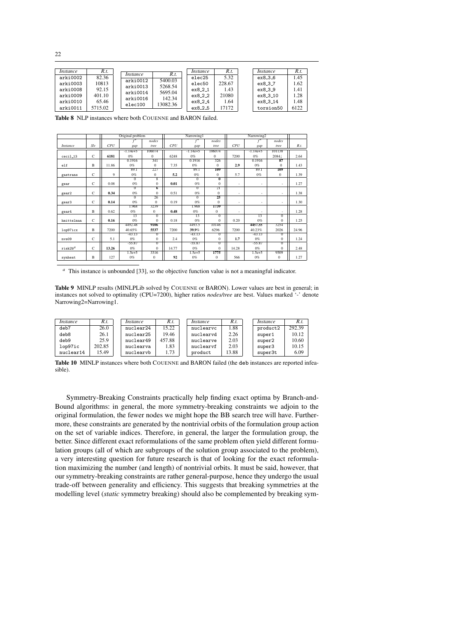| arki0008                         | 92.15                      | arki0013<br>arki0014 | 5268.54<br>5695.04 | elec50<br>ex8.2.1           | 228.67<br>1.43         | ex8.3.7<br>ex8.3.9                | 1.62<br>1.41         |
|----------------------------------|----------------------------|----------------------|--------------------|-----------------------------|------------------------|-----------------------------------|----------------------|
|                                  |                            |                      |                    |                             |                        |                                   |                      |
| arki0009<br>arki0010<br>arki0011 | 401.10<br>65.46<br>5715.02 | arki0016<br>elec100  | 142.34<br>13082.36 | ex8.2.2<br>ex824<br>ex8.2.5 | 21080<br>1.64<br>17172 | ex8.3.10<br>ex8 3 14<br>torsion50 | 1.28<br>1.48<br>6122 |

**Table 8** NLP instances where both COUENNE and BARON failed.

|                 |             |       | Original problem   |                  |       | Narrowing1      |                         |       | Narrowing2         |                  |       |
|-----------------|-------------|-------|--------------------|------------------|-------|-----------------|-------------------------|-------|--------------------|------------------|-------|
|                 |             |       |                    | nodes            |       |                 | nodes                   |       |                    | nodes            |       |
| <i>Instance</i> | Slv         | CPU   | gap                | tree             | CPU   | gap             | tree                    | CPU   | gap                | tree             | R.t.  |
|                 |             |       | $-1.14e+5$         | 106074           |       | $-1.14e+5$      | 106074                  |       | $-1.14e+5$         | 101138           |       |
| $ceci1_13$      | $\mathbf C$ | 6181  | 0%                 | $\Omega$         | 6248  | 0%              | $\Omega$                | 7200  | 0%                 | 2084             | 2.64  |
|                 |             |       | 0.1916             | 341              |       | 0.1916          | 326                     |       | 0.1916             | 87               |       |
| e1f             | B           | 11.86 | 0%                 | $\Omega$         | 7.35  | 0%              | $\Omega$                | 2.9   | 0%                 | $\Omega$         | 1.43  |
|                 |             |       | 89.1               | 227              |       | 89.1            | 109                     |       | 89.1               | 109              |       |
| gastrans        | $\mathbf C$ | 9     | 0%                 | $\mathbf{0}$     | 5.2   | 0%              | $\bf{0}$                | 5.7   | 0%                 | $\mathbf{0}$     | 1.39  |
|                 |             |       | $\sigma$           | $\overline{8}$   |       | $\overline{0}$  | $\overline{\mathbf{0}}$ |       |                    |                  |       |
| gear            | C           | 0.08  | 0%                 | $\bf{0}$         | 0.01  | 0%              | $\mathbf{0}$            | ٠     | ٠                  | ٠                | 1.27  |
|                 |             |       | $\overline{0}$     | 6                |       | $^{0}$          | 21                      |       |                    |                  |       |
| gear2           | C           | 0.34  | 0%                 | $\bf{0}$         | 0.51  | 0%              | $\overline{0}$          | ٠     | ٠                  | ٠                | 1.38  |
|                 |             |       | $\Omega$           | 26               |       | $\overline{0}$  | 25                      |       |                    |                  |       |
| gear3           | C           | 0.14  | 0%                 | $\Omega$         | 0.19  | 0%              | $\overline{0}$          | ٠     | ٠                  | ٠                | 1.30  |
|                 |             |       | 1.968              | 3239             |       | 1.968           | 1739                    |       |                    |                  |       |
| gear4           | $\mathbf B$ | 0.62  | $0\%$              | $\Omega$         | 0.48  | 0%              | $\Omega$                | ٠     | ٠                  | ٠                | 1.28  |
|                 |             |       | $\overline{13}$    | $\overline{0}$   |       | $\overline{13}$ | $\overline{0}$          |       | 13                 | $\overline{0}$   |       |
| hmittelman      | $\mathbf C$ | 0.16  | 0%<br>4492.48      | $\Omega$<br>9106 | 0.18  | 0%<br>4493.5    | $\Omega$<br>10146       | 0.20  | 0%<br>4457.55      | $\Omega$<br>3254 | 1.25  |
|                 | $\mathbf B$ |       |                    |                  |       | 39.9%           | 6296                    |       |                    |                  |       |
| lop97icx        |             | 7200  | 40.65%<br>$-43.13$ | 5537<br>0        | 7200  | $-43.13$        | $\overline{0}$          | 7200  | 40.23%<br>$-43.13$ | 2026<br>$\Omega$ | 24.96 |
|                 | $\mathbf C$ | 5.1   | 0%                 | $\bf{0}$         | 2.4   | 0%              | $\mathbf{0}$            | 1.7   | 0%                 | $\Omega$         |       |
| nys09           |             |       | -55.87             | $\overline{0}$   |       | $-55.87$        | $\overline{0}$          |       | $-55.87$           | $\Omega$         | 1.24  |
| $r$ isk $2bd$   | $\mathbf C$ | 13.26 | 0%                 | $\Omega$         | 14.77 | 0%              | $\Omega$                | 14.28 | 0%                 | $\Omega$         | 2.48  |
|                 |             |       | $1.5e+5$           | 3316             |       | 1.5e+5          | 1775                    |       | 1.5e+5             | 9509             |       |
| synheat         | B           | 127   | 0%                 | $\mathbf{0}$     | 92    | 0%              | $\mathbf{0}$            | 566   | 0%                 | $\mathbf{0}$     | 1.27  |

*<sup>a</sup>* This instance is unbounded [33], so the objective function value is not a meaningful indicator.

Table 9 MINLP results (MINLPLib solved by COUENNE or BARON). Lower values are best in general; in instances not solved to optimality (CPU=7200), higher ratios *nodes/tree* are best. Values marked '-' denote Narrowing2=Narrowing1.

| <i>Instance</i> | R.t.   | <i>Instance</i> | R.t.   | <i>Instance</i> | R.t.  | <i>Instance</i> | R.t.   |
|-----------------|--------|-----------------|--------|-----------------|-------|-----------------|--------|
| deb7            | 26.0   | nuclear24       | 15.22  | nuclearvc       | 1.88  | product2        | 292.39 |
| deb8            | 26.1   | nuclear25       | 19.46  | nuclearvd       | 2.26  | super1          | 10.12  |
| deb9            | 25.9   | nuclear49       | 457.88 | nuclearve       | 2.03  | super2          | 10.60  |
| lop97ic         | 202.85 | nuclearva       | 1.83   | nuclearyf       | 2.03  | super3          | 10.15  |
| nuclear14       | 15.49  | nuclearyb       | 1.73   | product         | 13.88 | super3t         | 6.09   |

**Table 10** MINLP instances where both COUENNE and BARON failed (the deb instances are reported infeasible).

Symmetry-Breaking Constraints practically help finding exact optima by Branch-and-Bound algorithms: in general, the more symmetry-breaking constraints we adjoin to the original formulation, the fewer nodes we might hope the BB search tree will have. Furthermore, these constraints are generated by the nontrivial orbits of the formulation group action on the set of variable indices. Therefore, in general, the larger the formulation group, the better. Since different exact reformulations of the same problem often yield different formulation groups (all of which are subgroups of the solution group associated to the problem), a very interesting question for future research is that of looking for the exact reformulation maximizing the number (and length) of nontrivial orbits. It must be said, however, that our symmetry-breaking constraints are rather general-purpose, hence they undergo the usual trade-off between generality and efficiency. This suggests that breaking symmetries at the modelling level (*static* symmetry breaking) should also be complemented by breaking sym-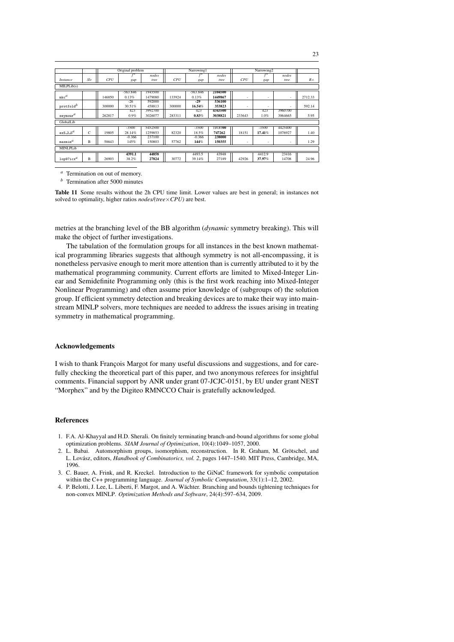|                       |     |        | Original problem |         |            | Narrowing1 |         |                          | Narrowing2               |         |         |
|-----------------------|-----|--------|------------------|---------|------------|------------|---------|--------------------------|--------------------------|---------|---------|
|                       |     |        |                  | nodes   |            |            | nodes   |                          |                          | nodes   |         |
| <i>Instance</i>       | Slv | CPU    | gap              | tree    | <b>CPU</b> | gap        | tree    | <b>CPU</b>               | gap                      | tree    | R.t.    |
| MILPLib(s)            |     |        |                  |         |            |            |         |                          |                          |         |         |
|                       |     |        | $-563.846$       | 1945500 |            | $-563.846$ | 2104500 |                          |                          |         |         |
| $mkc^d$               |     | 146850 | 0.13%            | 1479080 | 133924     | 0.13%      | 1449867 | ٠                        | $\overline{\phantom{a}}$ | ٠       | 2712.33 |
|                       |     |        | $-26$            | 592000  |            | -29        | 536100  |                          |                          |         |         |
| protfold <sup>b</sup> |     | 300000 | 30.51%           | 458813  | 300000     | 16.54%     | 353823  | $\overline{\phantom{a}}$ | ٠                        |         | 592.14  |
|                       |     |        | 423              | 3992700 |            | 423        | 4343500 |                          | 423                      | 3960700 |         |
| $\texttt{seymour}^d$  |     | 262817 | 0.9%             | 3026077 | 283311     | 0.83%      | 3038821 | 233643                   | 1.0%                     | 3064665 | 5.95    |
| GlobalLib             |     |        |                  |         |            |            |         |                          |                          |         |         |
|                       |     |        | $-3500$          | 5452500 |            | $-3500$    | 7373700 |                          | $-3500$                  | 4425400 |         |
| ex5.2.5 <sup>d</sup>  | C   | 19805  | 28.14%           | 1259853 | 82320      | 18.5%      | 747262  | 18151                    | 17.41%                   | 1076927 | 1.40    |
|                       |     |        | $-0.366$         | 237100  |            | $-0.366$   | 238000  |                          |                          |         |         |
| maxmin <sup>a</sup>   | B   | 58643  | 145%             | 150803  | 57762      | 144%       | 150355  | ٠                        | $\overline{\phantom{a}}$ |         | 1.29    |
| MINLPLib              |     |        |                  |         |            |            |         |                          |                          |         |         |
|                       |     |        | 4391.1           | 44858   |            | 4493.5     | 43948   |                          | 4412.9                   | 23416   |         |
| $1$ op $97$ icx $d$   | B   | 26903  | 38.2%            | 27824   | 30772      | 39.14%     | 27189   | 42926                    | 37.97%                   | 14708   | 24.96   |

 $a$  Termination on out of memory.

 $<sup>b</sup>$  Termination after 5000 minutes</sup>

Table 11 Some results without the 2h CPU time limit. Lower values are best in general; in instances not solved to optimality, higher ratios *nodes/(tree* $\times$ *CPU)* are best.

metries at the branching level of the BB algorithm (dynamic symmetry breaking). This will make the object of further investigations.

The tabulation of the formulation groups for all instances in the best known mathematical programming libraries suggests that although symmetry is not all-encompassing, it is nonetheless pervasive enough to merit more attention than is currently attributed to it by the mathematical programming community. Current efforts are limited to Mixed-Integer Linear and Semidefinite Programming only (this is the first work reaching into Mixed-Integer Nonlinear Programming) and often assume prior knowledge of (subgroups of) the solution group. If efficient symmetry detection and breaking devices are to make their way into mainstream MINLP solvers, more techniques are needed to address the issues arising in treating symmetry in mathematical programming.

## Acknowledgements

I wish to thank François Margot for many useful discussions and suggestions, and for carefully checking the theoretical part of this paper, and two anonymous referees for insightful comments. Financial support by ANR under grant 07-JCJC-0151, by EU under grant NEST "Morphex" and by the Digiteo RMNCCO Chair is gratefully acknowledged.

## **References**

- 1. F.A. Al-Khayyal and H.D. Sherali. On finitely terminating branch-and-bound algorithms for some global optimization problems. SIAM Journal of Optimization, 10(4):1049-1057, 2000.
- 2. L. Babai. Automorphism groups, isomorphism, reconstruction. In R. Graham, M. Grötschel, and L. Lovász, editors, Handbook of Combinatorics, vol. 2, pages 1447-1540. MIT Press, Cambridge, MA, 1996
- 3. C. Bauer, A. Frink, and R. Kreckel. Introduction to the GiNaC framework for symbolic computation within the C++ programming language. Journal of Symbolic Computation, 33(1):1-12, 2002.
- 4. P. Belotti, J. Lee, L. Liberti, F. Margot, and A. Wächter. Branching and bounds tightening techniques for non-convex MINLP. Optimization Methods and Software, 24(4):597-634, 2009.

 $23$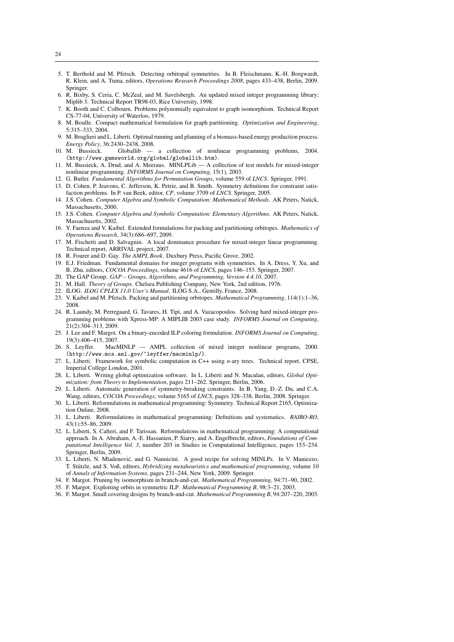- 5. T. Berthold and M. Pfetsch. Detecting orbitopal symmetries. In B. Fleischmann, K.-H. Borgwardt, R. Klein, and A. Tuma, editors, *Operations Research Proceedings 2008*, pages 433–438, Berlin, 2009. Springer.
- 6. R. Bixby, S. Ceria, C. McZeal, and M. Savelsbergh. An updated mixed integer programming library: Miplib 3. Technical Report TR98-03, Rice University, 1998.
- 7. K. Booth and C. Colbourn. Problems polynomially equivalent to graph isomorphism. Technical Report CS-77-04, University of Waterloo, 1979.
- 8. M. Boulle. Compact mathematical formulation for graph partitioning. *Optimization and Engineering*, 5:315–333, 2004.
- 9. M. Bruglieri and L. Liberti. Optimal running and planning of a biomass-based energy production process. *Energy Policy*, 36:2430–2438, 2008.
- 10. M. Bussieck. Globallib a collection of nonlinear programming problems, 2004. (http://www.gamsworld.org/global/globallib.htm).
- 11. M. Bussieck, A. Drud, and A. Meeraus. MINLPLib A collection of test models for mixed-integer nonlinear programming. *INFORMS Journal on Computing*, 15(1), 2003.
- 12. G. Butler. *Fundamental Algorithms for Permutation Groups*, volume 559 of *LNCS*. Springer, 1991.
- 13. D. Cohen, P. Jeavons, C. Jefferson, K. Petrie, and B. Smith. Symmetry definitions for constraint satisfaction problems. In P. van Beek, editor, *CP*, volume 3709 of *LNCS*. Springer, 2005.
- 14. J.S. Cohen. *Computer Algebra and Symbolic Computation: Mathematical Methods*. AK Peters, Natick, Massachusetts, 2000.
- 15. J.S. Cohen. *Computer Algebra and Symbolic Computation: Elementary Algorithms*. AK Peters, Natick, Massachusetts, 2002.
- 16. Y. Faenza and V. Kaibel. Extended formulations for packing and partitioning orbitopes. *Mathematics of Operations Research*, 34(3):686–697, 2009.
- 17. M. Fischetti and D. Salvagnin. A local dominance procedure for mixed-integer linear programming. Technical report, ARRIVAL project, 2007.
- 18. R. Fourer and D. Gay. *The AMPL Book*. Duxbury Press, Pacific Grove, 2002.
- 19. E.J. Friedman. Fundamental domains for integer programs with symmetries. In A. Dress, Y. Xu, and B. Zhu, editors, *COCOA Proceedings*, volume 4616 of *LNCS*, pages 146–153. Springer, 2007.
- 20. The GAP Group. *GAP Groups, Algorithms, and Programming, Version 4.4.10*, 2007.
- 21. M. Hall. *Theory of Groups*. Chelsea Publishing Company, New York, 2nd edition, 1976.
- 22. ILOG. *ILOG CPLEX 11.0 User's Manual*. ILOG S.A., Gentilly, France, 2008.
- 23. V. Kaibel and M. Pfetsch. Packing and partitioning orbitopes. *Mathematical Programming*, 114(1):1–36, 2008.
- 24. R. Laundy, M. Perregaard, G. Tavares, H. Tipi, and A. Vazacopoulos. Solving hard mixed-integer programming problems with Xpress-MP: A MIPLIB 2003 case study. *INFORMS Journal on Computing*, 21(2):304–313, 2009.
- 25. J. Lee and F. Margot. On a binary-encoded ILP coloring formulation. *INFORMS Journal on Computing*, 19(3):406–415, 2007.
- 26. S. Leyffer. MacMINLP AMPL collection of mixed integer nonlinear programs, 2000. (http://www.mcs.anl.gov/~leyffer/macminlp/).
- 27. L. Liberti. Framework for symbolic computation in C++ using *n*-ary trees. Technical report, CPSE, Imperial College London, 2001.
- 28. L. Liberti. Writing global optimization software. In L. Liberti and N. Maculan, editors, *Global Optimization: from Theory to Implementation*, pages 211–262. Springer, Berlin, 2006.
- 29. L. Liberti. Automatic generation of symmetry-breaking constraints. In B. Yang, D.-Z. Du, and C.A. Wang, editors, *COCOA Proceedings*, volume 5165 of *LNCS*, pages 328–338, Berlin, 2008. Springer.
- 30. L. Liberti. Reformulations in mathematical programming: Symmetry. Technical Report 2165, Optimization Online, 2008.
- 31. L. Liberti. Reformulations in mathematical programming: Definitions and systematics. *RAIRO-RO*, 43(1):55–86, 2009.
- 32. L. Liberti, S. Cafieri, and F. Tarissan. Reformulations in mathematical programming: A computational approach. In A. Abraham, A.-E. Hassanien, P. Siarry, and A. Engelbrecht, editors, *Foundations of Computational Intelligence Vol. 3*, number 203 in Studies in Computational Intelligence, pages 153–234. Springer, Berlin, 2009.
- 33. L. Liberti, N. Mladenović, and G. Nannicini. A good recipe for solving MINLPs. In V. Maniezzo, T. Stützle, and S. Voß, editors, *Hybridizing metaheuristics and mathematical programming*, volume 10 of *Annals of Information Systems*, pages 231–244, New York, 2009. Springer.
- 34. F. Margot. Pruning by isomorphism in branch-and-cut. *Mathematical Programming*, 94:71–90, 2002.
- 35. F. Margot. Exploiting orbits in symmetric ILP. *Mathematical Programming B*, 98:3–21, 2003.
- 36. F. Margot. Small covering designs by branch-and-cut. *Mathematical Programming B*, 94:207–220, 2003.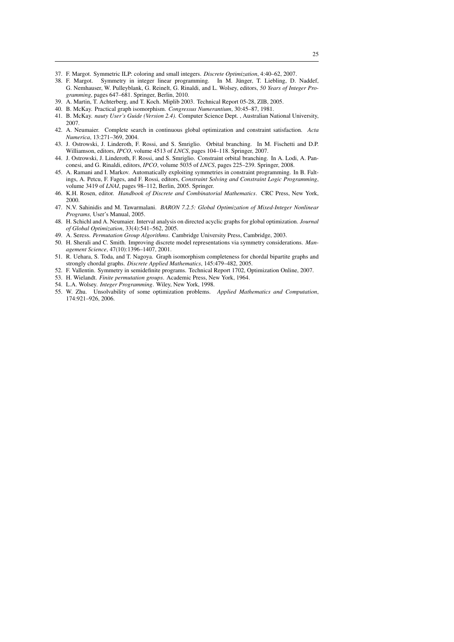- 37. F. Margot. Symmetric ILP: coloring and small integers. *Discrete Optimization*, 4:40–62, 2007.
- 38. F. Margot. Symmetry in integer linear programming. In M. Jünger, T. Liebling, D. Naddef, G. Nemhauser, W. Pulleyblank, G. Reinelt, G. Rinaldi, and L. Wolsey, editors, *50 Years of Integer Programming*, pages 647–681. Springer, Berlin, 2010.
- 39. A. Martin, T. Achterberg, and T. Koch. Miplib 2003. Technical Report 05-28, ZIB, 2005.
- 40. B. McKay. Practical graph isomorphism. *Congressus Numerantium*, 30:45–87, 1981.
- 41. B. McKay. *nauty User's Guide (Version 2.4)*. Computer Science Dept. , Australian National University, 2007.
- 42. A. Neumaier. Complete search in continuous global optimization and constraint satisfaction. *Acta Numerica*, 13:271–369, 2004.
- 43. J. Ostrowski, J. Linderoth, F. Rossi, and S. Smriglio. Orbital branching. In M. Fischetti and D.P. Williamson, editors, *IPCO*, volume 4513 of *LNCS*, pages 104–118. Springer, 2007.
- 44. J. Ostrowski, J. Linderoth, F. Rossi, and S. Smriglio. Constraint orbital branching. In A. Lodi, A. Panconesi, and G. Rinaldi, editors, *IPCO*, volume 5035 of *LNCS*, pages 225–239. Springer, 2008.
- 45. A. Ramani and I. Markov. Automatically exploiting symmetries in constraint programming. In B. Faltings, A. Petcu, F. Fages, and F. Rossi, editors, *Constraint Solving and Constraint Logic Programming*, volume 3419 of *LNAI*, pages 98–112, Berlin, 2005. Springer.
- 46. K.H. Rosen, editor. *Handbook of Discrete and Combinatorial Mathematics*. CRC Press, New York, 2000.
- 47. N.V. Sahinidis and M. Tawarmalani. *BARON 7.2.5: Global Optimization of Mixed-Integer Nonlinear Programs,* User's Manual, 2005.
- 48. H. Schichl and A. Neumaier. Interval analysis on directed acyclic graphs for global optimization. *Journal of Global Optimization*, 33(4):541–562, 2005.
- 49. A. Seress. *Permutation Group Algorithms*. Cambridge University Press, Cambridge, 2003.
- 50. H. Sherali and C. Smith. Improving discrete model representations via symmetry considerations. *Management Science*, 47(10):1396–1407, 2001.
- 51. R. Uehara, S. Toda, and T. Nagoya. Graph isomorphism completeness for chordal bipartite graphs and strongly chordal graphs. *Discrete Applied Mathematics*, 145:479–482, 2005.
- 52. F. Vallentin. Symmetry in semidefinite programs. Technical Report 1702, Optimization Online, 2007.
- 53. H. Wielandt. *Finite permutation groups*. Academic Press, New York, 1964.
- 54. L.A. Wolsey. *Integer Programming*. Wiley, New York, 1998.
- 55. W. Zhu. Unsolvability of some optimization problems. *Applied Mathematics and Computation*, 174:921–926, 2006.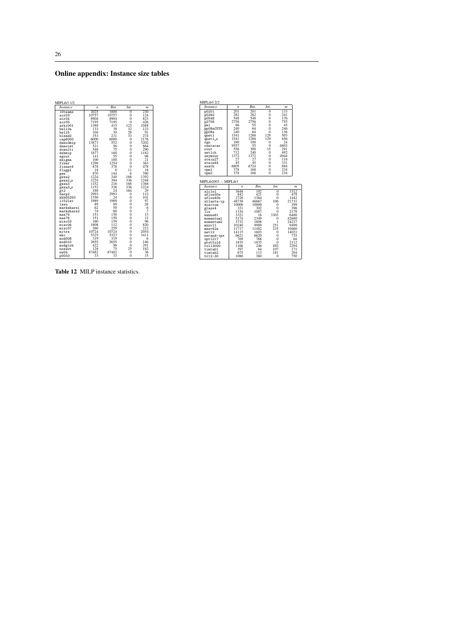# Online appendix: Instance size tables

| MIPLib3 1/2        |                  |                  |                 |                  |
|--------------------|------------------|------------------|-----------------|------------------|
| <i>Instance</i>    | $\boldsymbol{n}$ | Rin.             | Int.            | $\boldsymbol{m}$ |
| 10teams            | 2025             | 1800             | $\theta$        | 230              |
| air03              | 10757            | 10757            | $\theta$        | 124              |
| air04              | 8904             | 8904             | $\overline{0}$  | 823              |
| air05              | 7195             | 7195             | $\theta$        | 426              |
| arki001            | 1388             | 415              | 123             | 1048             |
| bell3a             | 133              | 39               | 32              | 123              |
| be115              | 104              | $\frac{30}{231}$ | $\frac{28}{33}$ | 91               |
| blend <sub>2</sub> | 353              |                  |                 | 274              |
| cap6000            | 6000             | 6000             | $\Omega$        | 2176             |
| dano3mip           | 13873            | 552              | $\overline{0}$  | 3202             |
| danoint            | 521              | 56               | $\overline{0}$  | 664              |
| dcmulti            | 548              | 75               | $\overline{0}$  | 290              |
| dsbmip             | 1877             | 160              | $\overline{0}$  | 1182             |
| egout              | 141              | 55               | $\overline{0}$  | 98               |
| enigma             | 100              | 100              | $\overline{0}$  | 21               |
| fiber              | 1298             | 1254             | $\overline{0}$  | 363              |
| fixnet.6           | 878              | 378              | $\overline{0}$  | 478              |
| flugpl             | 18               | $\Omega$         | 11              | 18               |
| gen                | 870              | 144              | 6               | 780              |
| gesa2              | 1224             | 240              | 168             | 1392             |
| gesa2_o            | 1224             | 384              | 336             | 1248             |
| gesa3              | 1152             | 216              | 168             | 1368             |
| gesa3_o            | 1152             | 336              | 336             | 1224             |
| gt2                | 188              | $\overline{24}$  | 164             | 29               |
| harp2              | 2993             | 2993             | $\theta$        | 112              |
| khb05250           | 1350             | 24               | Ō               | 101              |
| 11521av            | 1989             | 1989             | $\overline{0}$  | 97               |
| 1 seu              | 89               | 89               | $\overline{0}$  | 28               |
| markshare1         | 62               | 50               | Ō               | 6                |
| markshare2         | 74               | 60               | $\overline{0}$  | 7                |
| mas74              | 151              | 150              | $\overline{0}$  | $^{13}_{12}$     |
| mas76              | 151              | 150              | $\overline{0}$  |                  |
| misc03             | 160              | 159              | $\overline{0}$  | 96               |
| misc06             | 1808             | 112              | Ò               | 820              |
| misc.07            | 260              | 259              | $\overline{0}$  | 212              |
| mitre              | 10724            | 10724            | $\overline{0}$  | 2054             |
| mkc                | 5325             | 5323             | $\overline{0}$  | 3411             |
| mod008             | 319              | 319              | $\overline{0}$  | 6                |
| mod010             | 2655             | 2655             | $\overline{0}$  | 146              |
| modglob            | 422              | 98               | Ō               | 291              |
| noswot             | 128              | 75               | 25              | 182              |
| nu04               | 87482            | 87482            | 0               | 36               |
| p0033              | 33               | 33               | $\theta$        | 15               |

| <b>Instance</b>      | n           | Rin.       | Int.            | $\boldsymbol{m}$ |
|----------------------|-------------|------------|-----------------|------------------|
| p0201                | 201         | 201        | $\theta$        | 133              |
| p0282                | 282         | 282        | $\theta$        | 241              |
| p0548                | 548         | 548        | $\overline{0}$  | 176              |
| p2756                | 2756        | 2756       | $\overline{0}$  | 755              |
| pk1                  | 86          | 55         | $\overline{0}$  | 45               |
| pp08aCUTS            | 240         | 64         | 0               | 246              |
| pp08a                | 240         | 64         | 0               | 136              |
| qnet1                | 1541        | 1288       | 129             | 503              |
| qnet1_o              | 1541        | 1288       | 129             | 456              |
| rgn                  | 180         | 100        | 0               | 24               |
| rentacar             | 9557        | 55         | $\theta$        | 6803             |
| rout.                | 556         | 300        | 15              | 291              |
| set1ch               | 712         | 240        | $\theta$        | 492              |
| seymour              | 1372        | 1372       | $\overline{0}$  | 4944             |
| stein27              | 27          | 27         | $\theta$        | 118              |
| stein45              | 45          | 45         | $\overline{0}$  | 331              |
| swath                | 6805        | 6724       | $\theta$        | 884              |
| vpm1                 | 378         | 168        | $\theta$        | 234              |
| vpm2                 | 378         | 168        | O               | 234              |
| <b>Instance</b>      |             |            |                 |                  |
|                      | n           | Bin.       | Int.            | m                |
| a1c1s1               | 3648        | 192        | $\theta$        | 3312             |
| aflow30a             | 842         | 421        | $\theta$        | 479              |
| aflow40b             | 2728        | 1364       | 0               | 1442             |
| atlanta-ip           | 48738       | 46667      | 106             | 21731            |
| disctom              | 10000       | 10000      | 0               | 399              |
| glass4               | 321         | 302        | $\theta$        | 396              |
| Īin                  | 1154        | 1087       | $\Omega$        | 2178             |
| manna81              | 3321        | 18         | 3303            | 6480             |
| momentum1            | 5174        | 2349       | $\Omega$        | 42680            |
| momentum2            | 3732        | 1808       | 1               | 24237            |
| mzzv11               | 10240       | 9989       | 251             | 9499             |
| mzzv42z              | 11717       | 11482      | 235             | 10460            |
| net12                | 14115       | 1603       | $\theta$        | 14021            |
| nsrand-ipx           | 6621        | 6620       | $\theta$        | 735              |
| opt 1217             | 769         | 768        | 0               | 64               |
| protfold             | 1835        | 1835       | 0               | 2112             |
| ro113000             | 1166        | 246        | 492             | 2294             |
| timtab1              | 397         | 64         | 107             | 171              |
| timtab2<br>$tr12-30$ | 675<br>1080 | 113<br>360 | 181<br>$\theta$ | 294<br>750       |

Table 12 MILP instance statistics.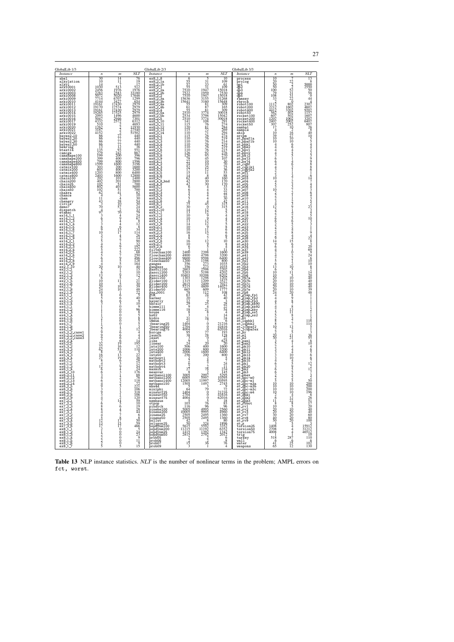| GlobalLib 1/3                                                                                                                                                                                                                                                                                                                                                                                                                                                                                                                                                                                                                                                                                                                                                                                                                                                                                                                                                                                                                                                                |                                                                                                                                                                                                                                                                                                         |                                                                     |                                                                                                                                                                                                                                                                                                                                                                                                   | GlobalLib 2/3                                                                                                                                                                                                                                                                                                                                                                                                                                                                                                                                                                                                                                                                                                                                                                                                                                                                                                                      |                                                                                                                                                                                                     |           |            | GlobalLib 3/3                                                                                                                                                                                                                                                                                                                                                                                                                                                                                                                                                                                                                                                                                                                                                                                                                                                                                                                                                                                                                                                                                                                                                                              |                                                   |                                                                                                                                                                                                                                   |                                                                                                                            |
|------------------------------------------------------------------------------------------------------------------------------------------------------------------------------------------------------------------------------------------------------------------------------------------------------------------------------------------------------------------------------------------------------------------------------------------------------------------------------------------------------------------------------------------------------------------------------------------------------------------------------------------------------------------------------------------------------------------------------------------------------------------------------------------------------------------------------------------------------------------------------------------------------------------------------------------------------------------------------------------------------------------------------------------------------------------------------|---------------------------------------------------------------------------------------------------------------------------------------------------------------------------------------------------------------------------------------------------------------------------------------------------------|---------------------------------------------------------------------|---------------------------------------------------------------------------------------------------------------------------------------------------------------------------------------------------------------------------------------------------------------------------------------------------------------------------------------------------------------------------------------------------|------------------------------------------------------------------------------------------------------------------------------------------------------------------------------------------------------------------------------------------------------------------------------------------------------------------------------------------------------------------------------------------------------------------------------------------------------------------------------------------------------------------------------------------------------------------------------------------------------------------------------------------------------------------------------------------------------------------------------------------------------------------------------------------------------------------------------------------------------------------------------------------------------------------------------------|-----------------------------------------------------------------------------------------------------------------------------------------------------------------------------------------------------|-----------|------------|--------------------------------------------------------------------------------------------------------------------------------------------------------------------------------------------------------------------------------------------------------------------------------------------------------------------------------------------------------------------------------------------------------------------------------------------------------------------------------------------------------------------------------------------------------------------------------------------------------------------------------------------------------------------------------------------------------------------------------------------------------------------------------------------------------------------------------------------------------------------------------------------------------------------------------------------------------------------------------------------------------------------------------------------------------------------------------------------------------------------------------------------------------------------------------------------|---------------------------------------------------|-----------------------------------------------------------------------------------------------------------------------------------------------------------------------------------------------------------------------------------|----------------------------------------------------------------------------------------------------------------------------|
|                                                                                                                                                                                                                                                                                                                                                                                                                                                                                                                                                                                                                                                                                                                                                                                                                                                                                                                                                                                                                                                                              |                                                                                                                                                                                                                                                                                                         |                                                                     |                                                                                                                                                                                                                                                                                                                                                                                                   |                                                                                                                                                                                                                                                                                                                                                                                                                                                                                                                                                                                                                                                                                                                                                                                                                                                                                                                                    |                                                                                                                                                                                                     |           |            |                                                                                                                                                                                                                                                                                                                                                                                                                                                                                                                                                                                                                                                                                                                                                                                                                                                                                                                                                                                                                                                                                                                                                                                            |                                                   |                                                                                                                                                                                                                                   |                                                                                                                            |
| <b>Instance</b><br>abel<br>abel<br>alkylation<br>alkyl<br>arki0001<br>arki0003<br>arki0003<br>arki0003<br>arki0010<br>arki0011<br>arki00010<br>arki00112<br>arki00112<br>arki00113<br>arki00113<br>arki00115<br>arki0022<br>arki0022<br>arki0022<br>bayes2_30<br>bayes2_30<br>bayes2_30<br>bayes2_50<br>bayes2_50<br>bayes2_50<br>bayes2_50<br>bayes2_50<br>bayes2_50<br>bayes2_50<br>bayes2_50<br>bayes2_50<br>brest174<br>campshape100<br>campshape200<br>campshape200<br>campshape200<br>catmix200<br>catmix200<br>catmix200<br>chain100<br>chain20<br>chain20<br>chain50<br>chain50<br>chain50<br>chain50<br>chain50<br>chance<br>$\begin{smallmatrix} \texttt{Cham} & \texttt{S} & \texttt{S} & \texttt{S} & \texttt{S} & \texttt{S} & \texttt{S} & \texttt{S} & \texttt{S} & \texttt{S} & \texttt{S} & \texttt{S} & \texttt{S} & \texttt{S} & \texttt{S} & \texttt{S} & \texttt{S} & \texttt{S} & \texttt{S} & \texttt{S} & \texttt{S} & \texttt{S} & \texttt{S} & \texttt{S} & \texttt{S} & \texttt{S} & \texttt{S} & \texttt{S} & \texttt{S} & \texttt{S} & \texttt$ | $\boldsymbol{n}$<br>2014年6月14日から1942年6月28日で2020年6月14日から1942年6月14日によっている。この1949年6月14日には1942年6月14日に1942年6月14日には1942年4月14日には1942年4月14日には19488888月14年5月26日に2020年4月14日には1942年4月14日には1948年4月14日には1948年4月14日には1949年4月14日には1949年4月14日には1949年4月14日には1949年4月<br>1211220997220867842663464939347688844523721222265 | $\boldsymbol{m}$<br>$\frac{14}{11}$<br>$13124564778778775700000000$ | <b>NLT</b><br>76月22日、1972年12月22日には2020年12月24日には2020年12月22日には1982年12月22日には1982年12月22日には1982年12月22日には1982年12月22日には2020年12月24日には2020年12月23日には1982年12月23日には1982年12月23日には1982年12月23日には1982年12月23日には1982年12月23日には1982年12月23日には1982年12月23日には1982年1<br>2268224268868221688688221688688221688688221688688221688688221688688221688<br>$\begin{array}{r} 466 \\ 54 \\ 23 \\ 23 \\ 11 \\ 9 \\ 15 \end{array}$ | Instance<br>$\begin{smallmatrix} 0.751 & 0.21 & 0.21 & 0.21 & 0.21 & 0.21 & 0.21 & 0.21 & 0.21 & 0.21 & 0.21 & 0.21 & 0.21 & 0.21 & 0.21 & 0.21 & 0.21 & 0.21 & 0.21 & 0.21 & 0.21 & 0.21 & 0.21 & 0.21 & 0.21 & 0.21 & 0.21 & 0.21 & 0.21 & 0.21 & 0.21 & 0.21 & 0.21 & 0.21 & 0.21 & 0.$<br>hydro<br>immun<br>jbearing25<br>jbearing75<br>,bearing75<br>Rorcge<br>Launch<br>Least<br>Like<br>Linear<br>Ints100<br>Ints200<br>Ints400<br>Ints50<br>mthopt1<br>mathopt2<br>mathopt3<br>mathopt4<br>maxmin<br>maxmın<br>meanvar<br>medival<br>methanol100<br>methanol200<br>methanol50<br>mhw4d<br>mhw4d<br>minlphi<br>minsurf25<br>minsurf50<br>minsurf75<br>minsuri75<br>nemhaus<br>corpor philopheral corporation<br>philopheral corporation<br>philopheral corporation<br>philopheral corporation<br>philopheral corporation<br>probotynm50<br>probotynm50<br>probotynm50<br>probotynm50<br>probotynm50<br>probotynm50<br>probo | $\boldsymbol{n}$<br>$\begin{array}{r} \n \cdot \cdot \cdot \\  \hline\n 657 \\  557 \\  7510 \\  7522 \\  7510 \\  7510 \\  7510 \\  15641 \\  551 \\  615 \\  615 \\  7510 \\  7510\n \end{array}$ | $\dot{m}$ | <b>NLT</b> | Instance<br>$\begin{tabular}{l} process & process & process \\ \hline \texttt{pr} \texttt{groups} \\ \texttt{p} \texttt{prop} \texttt{p} \texttt{p} \texttt{p} \texttt{p} \texttt{p} \texttt{p} \texttt{p} \texttt{p} \texttt{p} \texttt{p} \texttt{p} \texttt{p} \texttt{p} \texttt{p} \texttt{p} \texttt{p} \texttt{p} \texttt{p} \texttt{p} \texttt{p} \texttt{p} \texttt{p} \texttt{p} \texttt{p} \texttt{p} \texttt{p} \texttt{p} \texttt{p} \texttt{p} \texttt{$<br>st_e18<br>st_e19<br>st_e20<br>st_e21<br>st_e22<br>st_e23<br>st_e24<br>st_e25<br>st_e26<br>st_e28<br>st_e30<br>st_e33<br>st_e34<br>st_e37<br>$\begin{small} \texttt{st} = \texttt{map1} \\ \texttt{st} = \texttt{map2} \\ \texttt{st} = \texttt{map3} \\ \texttt{st} = \texttt{map3} \\ \texttt{st} = \texttt{map3} \\ \texttt{st} = \texttt{map3} \\ \texttt{st} = \texttt{map3} \\ \texttt{st} = \texttt{map3} \\ \texttt{st} = \texttt{map3} \\ \texttt{st} = \texttt{map3} \\ \texttt{st} = \texttt{map3} \\ \texttt{st} = \texttt{map3} \\ \texttt{st} = \texttt{map3} \\ \texttt{st} = \texttt{map3} \\ \texttt{st$<br>st.z<br>torsion25<br>torsion75<br>trig<br>trig<br>turkey<br>wall<br>water<br>weapons | $\boldsymbol{n}$<br>$518$<br>$41$<br>$41$<br>$65$ | $\dot{m}$<br>137253721<br>$\frac{1}{2}$<br>142565248444156410221210511510008987831183777325<br>1124444440045955525525510000422285<br>$\frac{100}{200}$<br>$\frac{200}{200}$<br>$\frac{5444}{4}$<br>$28^{1}_{7}$<br>$\frac{6}{12}$ | <b>NLT</b><br>$\begin{array}{c}\n 12112 \\  - 11264 \\  - 11145 \\  - 36556 \\  - 104656 \\  - 1221 \\  - 1\n \end{array}$ |

Table 13 NLP instance statistics. NLT is the number of nonlinear terms in the problem; AMPL errors on fct, worst.